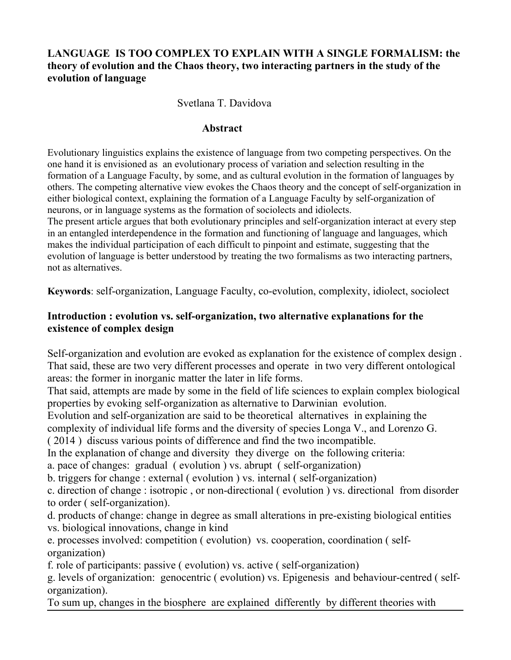## **LANGUAGE IS TOO COMPLEX TO EXPLAIN WITH A SINGLE FORMALISM: the theory of evolution and the Chaos theory, two interacting partners in the study of the evolution of language**

### Svetlana T. Davidova

#### **Abstract**

Evolutionary linguistics explains the existence of language from two competing perspectives. On the one hand it is envisioned as an evolutionary process of variation and selection resulting in the formation of a Language Faculty, by some, and as cultural evolution in the formation of languages by others. The competing alternative view evokes the Chaos theory and the concept of self-organization in either biological context, explaining the formation of a Language Faculty by self-organization of neurons, or in language systems as the formation of sociolects and idiolects.

The present article argues that both evolutionary principles and self-organization interact at every step in an entangled interdependence in the formation and functioning of language and languages, which makes the individual participation of each difficult to pinpoint and estimate, suggesting that the evolution of language is better understood by treating the two formalisms as two interacting partners, not as alternatives.

**Keywords**: self-organization, Language Faculty, co-evolution, complexity, idiolect, sociolect

### **Introduction : evolution vs. self-organization, two alternative explanations for the existence of complex design**

Self-organization and evolution are evoked as explanation for the existence of complex design . That said, these are two very different processes and operate in two very different ontological areas: the former in inorganic matter the later in life forms.

That said, attempts are made by some in the field of life sciences to explain complex biological properties by evoking self-organization as alternative to Darwinian evolution.

Evolution and self-organization are said to be theoretical alternatives in explaining the

complexity of individual life forms and the diversity of species Longa V., and Lorenzo G.

( 2014 ) discuss various points of difference and find the two incompatible.

In the explanation of change and diversity they diverge on the following criteria:

a. pace of changes: gradual ( evolution ) vs. abrupt ( self-organization)

b. triggers for change : external ( evolution ) vs. internal ( self-organization)

c. direction of change : isotropic , or non-directional ( evolution ) vs. directional from disorder to order ( self-organization).

d. products of change: change in degree as small alterations in pre-existing biological entities vs. biological innovations, change in kind

e. processes involved: competition ( evolution) vs. cooperation, coordination ( selforganization)

f. role of participants: passive ( evolution) vs. active ( self-organization)

g. levels of organization: genocentric ( evolution) vs. Epigenesis and behaviour-centred ( selforganization).

To sum up, changes in the biosphere are explained differently by different theories with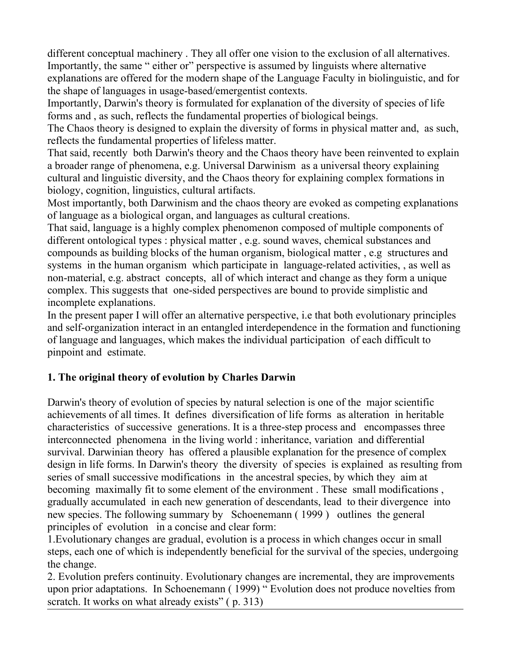different conceptual machinery . They all offer one vision to the exclusion of all alternatives. Importantly, the same " either or" perspective is assumed by linguists where alternative explanations are offered for the modern shape of the Language Faculty in biolinguistic, and for the shape of languages in usage-based/emergentist contexts.

Importantly, Darwin's theory is formulated for explanation of the diversity of species of life forms and , as such, reflects the fundamental properties of biological beings.

The Chaos theory is designed to explain the diversity of forms in physical matter and, as such, reflects the fundamental properties of lifeless matter.

That said, recently both Darwin's theory and the Chaos theory have been reinvented to explain a broader range of phenomena, e.g. Universal Darwinism as a universal theory explaining cultural and linguistic diversity, and the Chaos theory for explaining complex formations in biology, cognition, linguistics, cultural artifacts.

Most importantly, both Darwinism and the chaos theory are evoked as competing explanations of language as a biological organ, and languages as cultural creations.

That said, language is a highly complex phenomenon composed of multiple components of different ontological types : physical matter , e.g. sound waves, chemical substances and compounds as building blocks of the human organism, biological matter , e.g structures and systems in the human organism which participate in language-related activities, , as well as non-material, e.g. abstract concepts, all of which interact and change as they form a unique complex. This suggests that one-sided perspectives are bound to provide simplistic and incomplete explanations.

In the present paper I will offer an alternative perspective, i.e that both evolutionary principles and self-organization interact in an entangled interdependence in the formation and functioning of language and languages, which makes the individual participation of each difficult to pinpoint and estimate.

## **1. The original theory of evolution by Charles Darwin**

Darwin's theory of evolution of species by natural selection is one of the major scientific achievements of all times. It defines diversification of life forms as alteration in heritable characteristics of successive generations. It is a three-step process and encompasses three interconnected phenomena in the living world : inheritance, variation and differential survival. Darwinian theory has offered a plausible explanation for the presence of complex design in life forms. In Darwin's theory the diversity of species is explained as resulting from series of small successive modifications in the ancestral species, by which they aim at becoming maximally fit to some element of the environment . These small modifications , gradually accumulated in each new generation of descendants, lead to their divergence into new species. The following summary by Schoenemann ( 1999 ) outlines the general principles of evolution in a concise and clear form:

1.Evolutionary changes are gradual, evolution is a process in which changes occur in small steps, each one of which is independently beneficial for the survival of the species, undergoing the change.

2. Evolution prefers continuity. Evolutionary changes are incremental, they are improvements upon prior adaptations. In Schoenemann ( 1999) " Evolution does not produce novelties from scratch. It works on what already exists" (p. 313)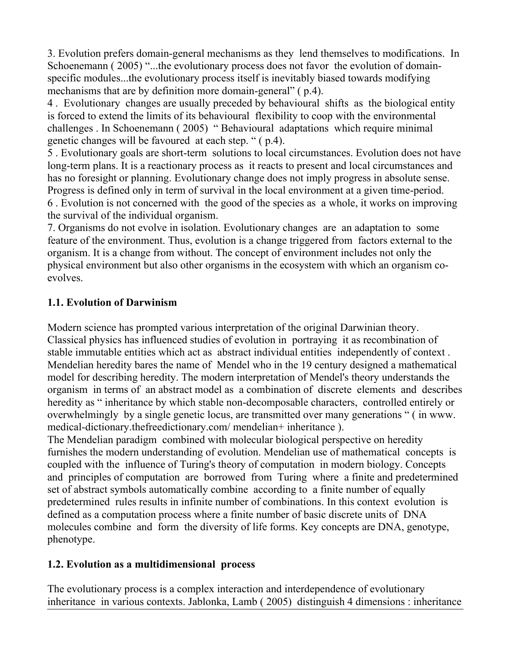3. Evolution prefers domain-general mechanisms as they lend themselves to modifications. In Schoenemann (2005) "...the evolutionary process does not favor the evolution of domainspecific modules...the evolutionary process itself is inevitably biased towards modifying mechanisms that are by definition more domain-general" ( p.4).

4 . Evolutionary changes are usually preceded by behavioural shifts as the biological entity is forced to extend the limits of its behavioural flexibility to coop with the environmental challenges . In Schoenemann ( 2005) " Behavioural adaptations which require minimal genetic changes will be favoured at each step. " ( p.4).

5 . Evolutionary goals are short-term solutions to local circumstances. Evolution does not have long-term plans. It is a reactionary process as it reacts to present and local circumstances and has no foresight or planning. Evolutionary change does not imply progress in absolute sense. Progress is defined only in term of survival in the local environment at a given time-period. 6 . Evolution is not concerned with the good of the species as a whole, it works on improving the survival of the individual organism.

7. Organisms do not evolve in isolation. Evolutionary changes are an adaptation to some feature of the environment. Thus, evolution is a change triggered from factors external to the organism. It is a change from without. The concept of environment includes not only the physical environment but also other organisms in the ecosystem with which an organism coevolves.

## **1.1. Evolution of Darwinism**

Modern science has prompted various interpretation of the original Darwinian theory. Classical physics has influenced studies of evolution in portraying it as recombination of stable immutable entities which act as abstract individual entities independently of context . Mendelian heredity bares the name of Mendel who in the 19 century designed a mathematical model for describing heredity. The modern interpretation of Mendel's theory understands the organism in terms of an abstract model as a combination of discrete elements and describes heredity as " inheritance by which stable non-decomposable characters, controlled entirely or overwhelmingly by a single genetic locus, are transmitted over many generations " ( in www. medical-dictionary.thefreedictionary.com/mendelian+ inheritance).

The Mendelian paradigm combined with molecular biological perspective on heredity furnishes the modern understanding of evolution. Mendelian use of mathematical concepts is coupled with the influence of Turing's theory of computation in modern biology. Concepts and principles of computation are borrowed from Turing where a finite and predetermined set of abstract symbols automatically combine according to a finite number of equally predetermined rules results in infinite number of combinations. In this context evolution is defined as a computation process where a finite number of basic discrete units of DNA molecules combine and form the diversity of life forms. Key concepts are DNA, genotype, phenotype.

## **1.2. Evolution as a multidimensional process**

The evolutionary process is a complex interaction and interdependence of evolutionary inheritance in various contexts. Jablonka, Lamb ( 2005) distinguish 4 dimensions : inheritance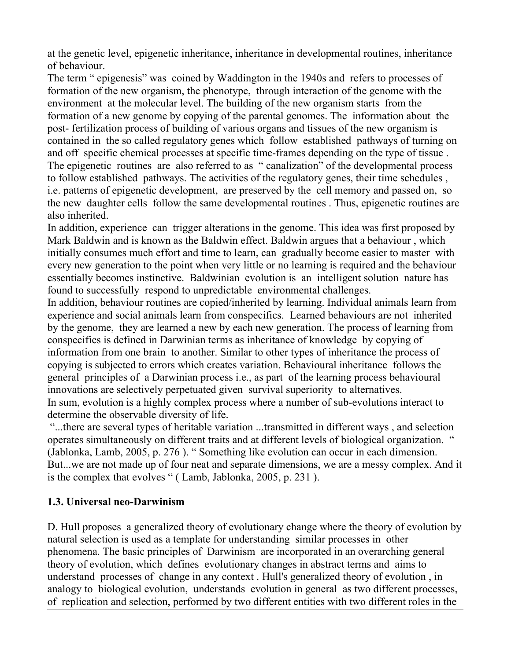at the genetic level, epigenetic inheritance, inheritance in developmental routines, inheritance of behaviour.

The term " epigenesis" was coined by Waddington in the 1940s and refers to processes of formation of the new organism, the phenotype, through interaction of the genome with the environment at the molecular level. The building of the new organism starts from the formation of a new genome by copying of the parental genomes. The information about the post- fertilization process of building of various organs and tissues of the new organism is contained in the so called regulatory genes which follow established pathways of turning on and off specific chemical processes at specific time-frames depending on the type of tissue . The epigenetic routines are also referred to as " canalization" of the developmental process to follow established pathways. The activities of the regulatory genes, their time schedules , i.e. patterns of epigenetic development, are preserved by the cell memory and passed on, so the new daughter cells follow the same developmental routines . Thus, epigenetic routines are also inherited.

In addition, experience can trigger alterations in the genome. This idea was first proposed by Mark Baldwin and is known as the Baldwin effect. Baldwin argues that a behaviour , which initially consumes much effort and time to learn, can gradually become easier to master with every new generation to the point when very little or no learning is required and the behaviour essentially becomes instinctive. Baldwinian evolution is an intelligent solution nature has found to successfully respond to unpredictable environmental challenges.

In addition, behaviour routines are copied/inherited by learning. Individual animals learn from experience and social animals learn from conspecifics. Learned behaviours are not inherited by the genome, they are learned a new by each new generation. The process of learning from conspecifics is defined in Darwinian terms as inheritance of knowledge by copying of information from one brain to another. Similar to other types of inheritance the process of copying is subjected to errors which creates variation. Behavioural inheritance follows the general principles of a Darwinian process i.e., as part of the learning process behavioural innovations are selectively perpetuated given survival superiority to alternatives. In sum, evolution is a highly complex process where a number of sub-evolutions interact to determine the observable diversity of life.

 "...there are several types of heritable variation ...transmitted in different ways , and selection operates simultaneously on different traits and at different levels of biological organization. " (Jablonka, Lamb, 2005, p. 276 ). " Something like evolution can occur in each dimension. But...we are not made up of four neat and separate dimensions, we are a messy complex. And it is the complex that evolves " (Lamb, Jablonka, 2005, p. 231).

### **1.3. Universal neo-Darwinism**

D. Hull proposes a generalized theory of evolutionary change where the theory of evolution by natural selection is used as a template for understanding similar processes in other phenomena. The basic principles of Darwinism are incorporated in an overarching general theory of evolution, which defines evolutionary changes in abstract terms and aims to understand processes of change in any context . Hull's generalized theory of evolution , in analogy to biological evolution, understands evolution in general as two different processes, of replication and selection, performed by two different entities with two different roles in the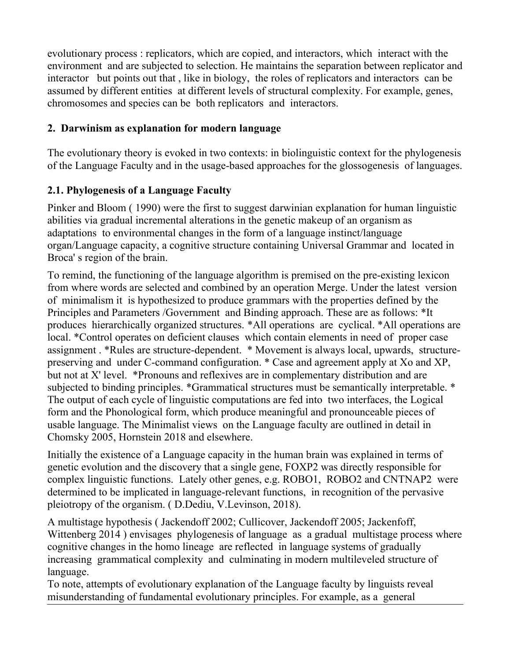evolutionary process : replicators, which are copied, and interactors, which interact with the environment and are subjected to selection. He maintains the separation between replicator and interactor but points out that , like in biology, the roles of replicators and interactors can be assumed by different entities at different levels of structural complexity. For example, genes, chromosomes and species can be both replicators and interactors.

## **2. Darwinism as explanation for modern language**

The evolutionary theory is evoked in two contexts: in biolinguistic context for the phylogenesis of the Language Faculty and in the usage-based approaches for the glossogenesis of languages.

# **2.1. Phylogenesis of a Language Faculty**

Pinker and Bloom ( 1990) were the first to suggest darwinian explanation for human linguistic abilities via gradual incremental alterations in the genetic makeup of an organism as adaptations to environmental changes in the form of a language instinct/language organ/Language capacity, a cognitive structure containing Universal Grammar and located in Broca' s region of the brain.

To remind, the functioning of the language algorithm is premised on the pre-existing lexicon from where words are selected and combined by an operation Merge. Under the latest version of minimalism it is hypothesized to produce grammars with the properties defined by the Principles and Parameters /Government and Binding approach. These are as follows: \*It produces hierarchically organized structures. \*All operations are cyclical. \*All operations are local. \*Control operates on deficient clauses which contain elements in need of proper case assignment . \*Rules are structure-dependent. \* Movement is always local, upwards, structurepreserving and under C-command configuration. \* Case and agreement apply at Xo and XP, but not at X' level. \*Pronouns and reflexives are in complementary distribution and are subjected to binding principles. \*Grammatical structures must be semantically interpretable. \* The output of each cycle of linguistic computations are fed into two interfaces, the Logical form and the Phonological form, which produce meaningful and pronounceable pieces of usable language. The Minimalist views on the Language faculty are outlined in detail in Chomsky 2005, Hornstein 2018 and elsewhere.

Initially the existence of a Language capacity in the human brain was explained in terms of genetic evolution and the discovery that a single gene, FOXP2 was directly responsible for complex linguistic functions. Lately other genes, e.g. ROBO1, ROBO2 and CNTNAP2 were determined to be implicated in language-relevant functions, in recognition of the pervasive pleiotropy of the organism. ( D.Dediu, V.Levinson, 2018).

A multistage hypothesis ( Jackendoff 2002; Cullicover, Jackendoff 2005; Jackenfoff, Wittenberg 2014 ) envisages phylogenesis of language as a gradual multistage process where cognitive changes in the homo lineage are reflected in language systems of gradually increasing grammatical complexity and culminating in modern multileveled structure of language.

To note, attempts of evolutionary explanation of the Language faculty by linguists reveal misunderstanding of fundamental evolutionary principles. For example, as a general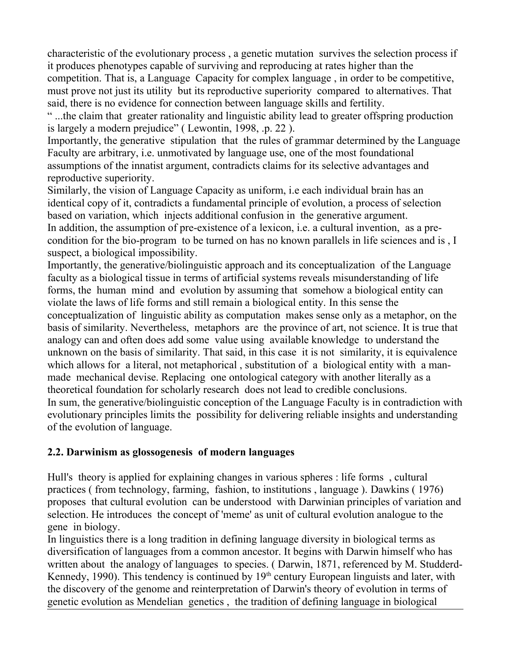characteristic of the evolutionary process , a genetic mutation survives the selection process if it produces phenotypes capable of surviving and reproducing at rates higher than the competition. That is, a Language Capacity for complex language , in order to be competitive, must prove not just its utility but its reproductive superiority compared to alternatives. That said, there is no evidence for connection between language skills and fertility.

" ...the claim that greater rationality and linguistic ability lead to greater offspring production is largely a modern prejudice" ( Lewontin, 1998, .p. 22 ).

Importantly, the generative stipulation that the rules of grammar determined by the Language Faculty are arbitrary, i.e. unmotivated by language use, one of the most foundational assumptions of the innatist argument, contradicts claims for its selective advantages and reproductive superiority.

Similarly, the vision of Language Capacity as uniform, i.e each individual brain has an identical copy of it, contradicts a fundamental principle of evolution, a process of selection based on variation, which injects additional confusion in the generative argument. In addition, the assumption of pre-existence of a lexicon, i.e. a cultural invention, as a precondition for the bio-program to be turned on has no known parallels in life sciences and is , I suspect, a biological impossibility.

Importantly, the generative/biolinguistic approach and its conceptualization of the Language faculty as a biological tissue in terms of artificial systems reveals misunderstanding of life forms, the human mind and evolution by assuming that somehow a biological entity can violate the laws of life forms and still remain a biological entity. In this sense the conceptualization of linguistic ability as computation makes sense only as a metaphor, on the basis of similarity. Nevertheless, metaphors are the province of art, not science. It is true that analogy can and often does add some value using available knowledge to understand the unknown on the basis of similarity. That said, in this case it is not similarity, it is equivalence which allows for a literal, not metaphorical, substitution of a biological entity with a manmade mechanical devise. Replacing one ontological category with another literally as a theoretical foundation for scholarly research does not lead to credible conclusions. In sum, the generative/biolinguistic conception of the Language Faculty is in contradiction with evolutionary principles limits the possibility for delivering reliable insights and understanding of the evolution of language.

### **2.2. Darwinism as glossogenesis of modern languages**

Hull's theory is applied for explaining changes in various spheres : life forms , cultural practices ( from technology, farming, fashion, to institutions , language ). Dawkins ( 1976) proposes that cultural evolution can be understood with Darwinian principles of variation and selection. He introduces the concept of 'meme' as unit of cultural evolution analogue to the gene in biology.

In linguistics there is a long tradition in defining language diversity in biological terms as diversification of languages from a common ancestor. It begins with Darwin himself who has written about the analogy of languages to species. (Darwin, 1871, referenced by M. Studderd-Kennedy, 1990). This tendency is continued by  $19<sup>th</sup>$  century European linguists and later, with the discovery of the genome and reinterpretation of Darwin's theory of evolution in terms of genetic evolution as Mendelian genetics , the tradition of defining language in biological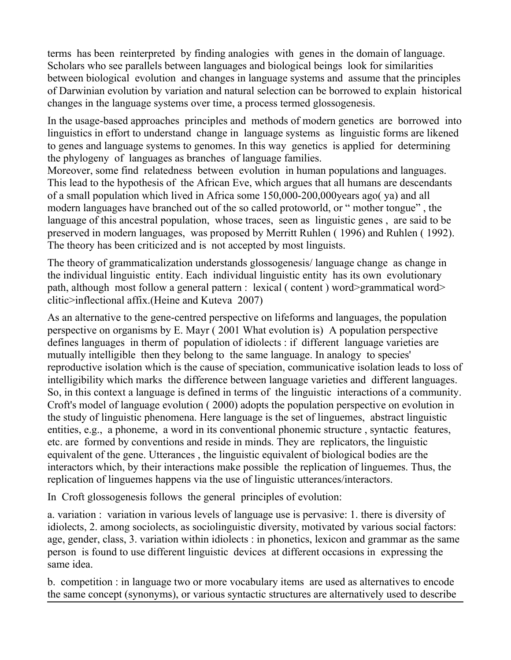terms has been reinterpreted by finding analogies with genes in the domain of language. Scholars who see parallels between languages and biological beings look for similarities between biological evolution and changes in language systems and assume that the principles of Darwinian evolution by variation and natural selection can be borrowed to explain historical changes in the language systems over time, a process termed glossogenesis.

In the usage-based approaches principles and methods of modern genetics are borrowed into linguistics in effort to understand change in language systems as linguistic forms are likened to genes and language systems to genomes. In this way genetics is applied for determining the phylogeny of languages as branches of language families.

Moreover, some find relatedness between evolution in human populations and languages. This lead to the hypothesis of the African Eve, which argues that all humans are descendants of a small population which lived in Africa some 150,000-200,000years ago( ya) and all modern languages have branched out of the so called protoworld, or " mother tongue" , the language of this ancestral population, whose traces, seen as linguistic genes , are said to be preserved in modern languages, was proposed by Merritt Ruhlen ( 1996) and Ruhlen ( 1992). The theory has been criticized and is not accepted by most linguists.

The theory of grammaticalization understands glossogenesis/ language change as change in the individual linguistic entity. Each individual linguistic entity has its own evolutionary path, although most follow a general pattern : lexical ( content ) word>grammatical word> clitic>inflectional affix.(Heine and Kuteva 2007)

As an alternative to the gene-centred perspective on lifeforms and languages, the population perspective on organisms by E. Mayr ( 2001 What evolution is) A population perspective defines languages in therm of population of idiolects : if different language varieties are mutually intelligible then they belong to the same language. In analogy to species' reproductive isolation which is the cause of speciation, communicative isolation leads to loss of intelligibility which marks the difference between language varieties and different languages. So, in this context a language is defined in terms of the linguistic interactions of a community. Croft's model of language evolution ( 2000) adopts the population perspective on evolution in the study of linguistic phenomena. Here language is the set of linguemes, abstract linguistic entities, e.g., a phoneme, a word in its conventional phonemic structure , syntactic features, etc. are formed by conventions and reside in minds. They are replicators, the linguistic equivalent of the gene. Utterances , the linguistic equivalent of biological bodies are the interactors which, by their interactions make possible the replication of linguemes. Thus, the replication of linguemes happens via the use of linguistic utterances/interactors.

In Croft glossogenesis follows the general principles of evolution:

a. variation : variation in various levels of language use is pervasive: 1. there is diversity of idiolects, 2. among sociolects, as sociolinguistic diversity, motivated by various social factors: age, gender, class, 3. variation within idiolects : in phonetics, lexicon and grammar as the same person is found to use different linguistic devices at different occasions in expressing the same idea.

b. competition : in language two or more vocabulary items are used as alternatives to encode the same concept (synonyms), or various syntactic structures are alternatively used to describe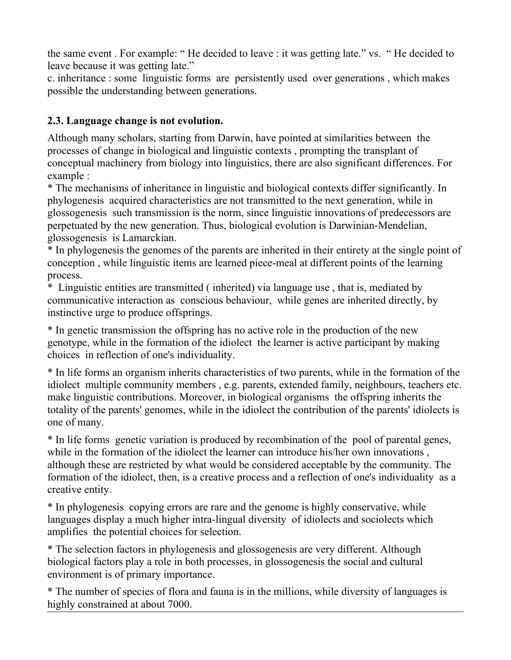the same event . For example: " He decided to leave : it was getting late." vs. " He decided to leave because it was getting late."

c. inheritance : some linguistic forms are persistently used over generations , which makes possible the understanding between generations.

## **2.3. Language change is not evolution.**

Although many scholars, starting from Darwin, have pointed at similarities between the processes of change in biological and linguistic contexts , prompting the transplant of conceptual machinery from biology into linguistics, there are also significant differences. For example :

\* The mechanisms of inheritance in linguistic and biological contexts differ significantly. In phylogenesis acquired characteristics are not transmitted to the next generation, while in glossogenesis such transmission is the norm, since linguistic innovations of predecessors are perpetuated by the new generation. Thus, biological evolution is Darwinian-Mendelian, glossogenesis is Lamarckian.

\* In phylogenesis the genomes of the parents are inherited in their entirety at the single point of conception , while linguistic items are learned piece-meal at different points of the learning process.

\* Linguistic entities are transmitted ( inherited) via language use , that is, mediated by communicative interaction as conscious behaviour, while genes are inherited directly, by instinctive urge to produce offsprings.

\* In genetic transmission the offspring has no active role in the production of the new genotype, while in the formation of the idiolect the learner is active participant by making choices in reflection of one's individuality.

\* In life forms an organism inherits characteristics of two parents, while in the formation of the idiolect multiple community members , e.g. parents, extended family, neighbours, teachers etc. make linguistic contributions. Moreover, in biological organisms the offspring inherits the totality of the parents' genomes, while in the idiolect the contribution of the parents' idiolects is one of many.

\* In life forms genetic variation is produced by recombination of the pool of parental genes, while in the formation of the idiolect the learner can introduce his/her own innovations, although these are restricted by what would be considered acceptable by the community. The formation of the idiolect, then, is a creative process and a reflection of one's individuality as a creative entity.

\* In phylogenesis copying errors are rare and the genome is highly conservative, while languages display a much higher intra-lingual diversity of idiolects and sociolects which amplifies the potential choices for selection.

\* The selection factors in phylogenesis and glossogenesis are very different. Although biological factors play a role in both processes, in glossogenesis the social and cultural environment is of primary importance.

\* The number of species of flora and fauna is in the millions, while diversity of languages is highly constrained at about 7000.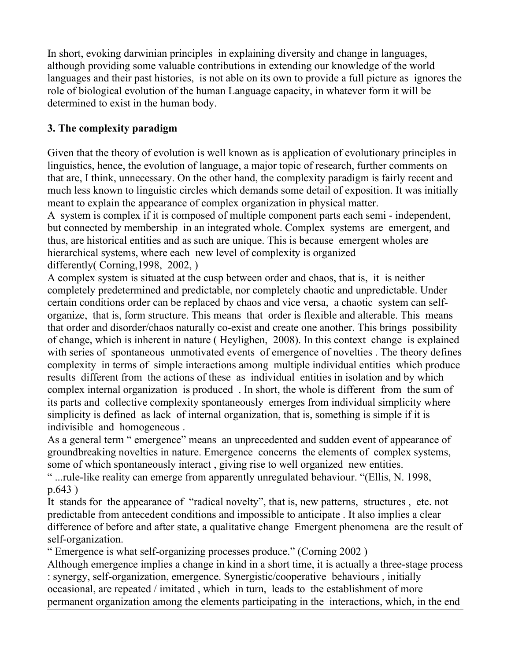In short, evoking darwinian principles in explaining diversity and change in languages, although providing some valuable contributions in extending our knowledge of the world languages and their past histories, is not able on its own to provide a full picture as ignores the role of biological evolution of the human Language capacity, in whatever form it will be determined to exist in the human body.

## **3. The complexity paradigm**

Given that the theory of evolution is well known as is application of evolutionary principles in linguistics, hence, the evolution of language, a major topic of research, further comments on that are, I think, unnecessary. On the other hand, the complexity paradigm is fairly recent and much less known to linguistic circles which demands some detail of exposition. It was initially meant to explain the appearance of complex organization in physical matter.

A system is complex if it is composed of multiple component parts each semi - independent, but connected by membership in an integrated whole. Complex systems are emergent, and thus, are historical entities and as such are unique. This is because emergent wholes are hierarchical systems, where each new level of complexity is organized differently( Corning,1998, 2002, )

A complex system is situated at the cusp between order and chaos, that is, it is neither completely predetermined and predictable, nor completely chaotic and unpredictable. Under certain conditions order can be replaced by chaos and vice versa, a chaotic system can selforganize, that is, form structure. This means that order is flexible and alterable. This means that order and disorder/chaos naturally co-exist and create one another. This brings possibility of change, which is inherent in nature ( Heylighen, 2008). In this context change is explained with series of spontaneous unmotivated events of emergence of novelties . The theory defines complexity in terms of simple interactions among multiple individual entities which produce results different from the actions of these as individual entities in isolation and by which complex internal organization is produced . In short, the whole is different from the sum of its parts and collective complexity spontaneously emerges from individual simplicity where simplicity is defined as lack of internal organization, that is, something is simple if it is indivisible and homogeneous .

As a general term " emergence" means an unprecedented and sudden event of appearance of groundbreaking novelties in nature. Emergence concerns the elements of complex systems, some of which spontaneously interact , giving rise to well organized new entities.

" ...rule-like reality can emerge from apparently unregulated behaviour. "(Ellis, N. 1998, p.643 )

It stands for the appearance of "radical novelty", that is, new patterns, structures , etc. not predictable from antecedent conditions and impossible to anticipate . It also implies a clear difference of before and after state, a qualitative change Emergent phenomena are the result of self-organization.

" Emergence is what self-organizing processes produce." (Corning 2002 ) Although emergence implies a change in kind in a short time, it is actually a three-stage process : synergy, self-organization, emergence. Synergistic/cooperative behaviours , initially occasional, are repeated / imitated , which in turn, leads to the establishment of more permanent organization among the elements participating in the interactions, which, in the end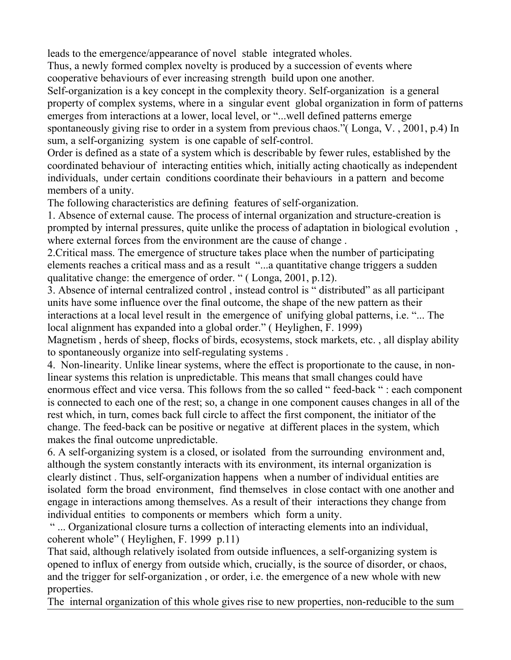leads to the emergence/appearance of novel stable integrated wholes.

Thus, a newly formed complex novelty is produced by a succession of events where cooperative behaviours of ever increasing strength build upon one another.

Self-organization is a key concept in the complexity theory. Self-organization is a general property of complex systems, where in a singular event global organization in form of patterns emerges from interactions at a lower, local level, or "...well defined patterns emerge spontaneously giving rise to order in a system from previous chaos."( Longa, V. , 2001, p.4) In sum, a self-organizing system is one capable of self-control.

Order is defined as a state of a system which is describable by fewer rules, established by the coordinated behaviour of interacting entities which, initially acting chaotically as independent individuals, under certain conditions coordinate their behaviours in a pattern and become members of a unity.

The following characteristics are defining features of self-organization.

1. Absence of external cause. The process of internal organization and structure-creation is prompted by internal pressures, quite unlike the process of adaptation in biological evolution , where external forces from the environment are the cause of change .

2.Critical mass. The emergence of structure takes place when the number of participating elements reaches a critical mass and as a result "...a quantitative change triggers a sudden qualitative change: the emergence of order. " ( Longa, 2001, p.12).

3. Absence of internal centralized control , instead control is " distributed" as all participant units have some influence over the final outcome, the shape of the new pattern as their interactions at a local level result in the emergence of unifying global patterns, i.e. "... The local alignment has expanded into a global order." ( Heylighen, F. 1999)

Magnetism , herds of sheep, flocks of birds, ecosystems, stock markets, etc. , all display ability to spontaneously organize into self-regulating systems .

4. Non-linearity. Unlike linear systems, where the effect is proportionate to the cause, in nonlinear systems this relation is unpredictable. This means that small changes could have enormous effect and vice versa. This follows from the so called " feed-back " : each component is connected to each one of the rest; so, a change in one component causes changes in all of the rest which, in turn, comes back full circle to affect the first component, the initiator of the change. The feed-back can be positive or negative at different places in the system, which makes the final outcome unpredictable.

6. A self-organizing system is a closed, or isolated from the surrounding environment and, although the system constantly interacts with its environment, its internal organization is clearly distinct . Thus, self-organization happens when a number of individual entities are isolated form the broad environment, find themselves in close contact with one another and engage in interactions among themselves. As a result of their interactions they change from individual entities to components or members which form a unity.

 " ... Organizational closure turns a collection of interacting elements into an individual, coherent whole" ( Heylighen, F. 1999 p.11)

That said, although relatively isolated from outside influences, a self-organizing system is opened to influx of energy from outside which, crucially, is the source of disorder, or chaos, and the trigger for self-organization , or order, i.e. the emergence of a new whole with new properties.

The internal organization of this whole gives rise to new properties, non-reducible to the sum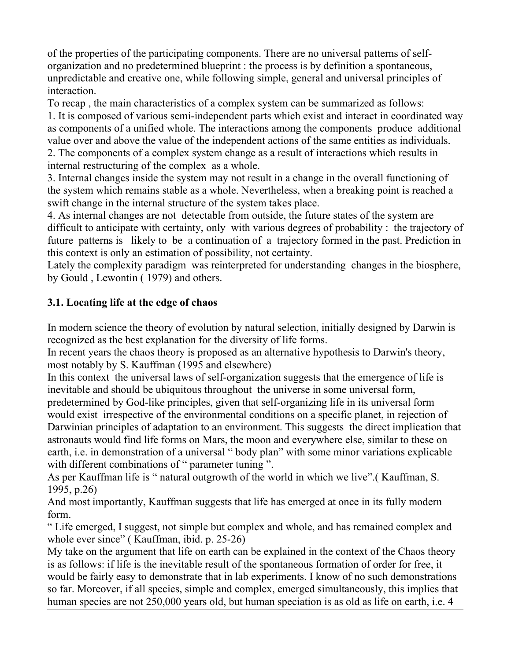of the properties of the participating components. There are no universal patterns of selforganization and no predetermined blueprint : the process is by definition a spontaneous, unpredictable and creative one, while following simple, general and universal principles of interaction.

To recap , the main characteristics of a complex system can be summarized as follows:

1. It is composed of various semi-independent parts which exist and interact in coordinated way as components of a unified whole. The interactions among the components produce additional value over and above the value of the independent actions of the same entities as individuals. 2. The components of a complex system change as a result of interactions which results in

internal restructuring of the complex as a whole.

3. Internal changes inside the system may not result in a change in the overall functioning of the system which remains stable as a whole. Nevertheless, when a breaking point is reached a swift change in the internal structure of the system takes place.

4. As internal changes are not detectable from outside, the future states of the system are difficult to anticipate with certainty, only with various degrees of probability : the trajectory of future patterns is likely to be a continuation of a trajectory formed in the past. Prediction in this context is only an estimation of possibility, not certainty.

Lately the complexity paradigm was reinterpreted for understanding changes in the biosphere, by Gould , Lewontin ( 1979) and others.

# **3.1. Locating life at the edge of chaos**

In modern science the theory of evolution by natural selection, initially designed by Darwin is recognized as the best explanation for the diversity of life forms.

In recent years the chaos theory is proposed as an alternative hypothesis to Darwin's theory, most notably by S. Kauffman (1995 and elsewhere)

In this context the universal laws of self-organization suggests that the emergence of life is inevitable and should be ubiquitous throughout the universe in some universal form,

predetermined by God-like principles, given that self-organizing life in its universal form would exist irrespective of the environmental conditions on a specific planet, in rejection of Darwinian principles of adaptation to an environment. This suggests the direct implication that astronauts would find life forms on Mars, the moon and everywhere else, similar to these on earth, i.e. in demonstration of a universal " body plan" with some minor variations explicable with different combinations of " parameter tuning ".

As per Kauffman life is " natural outgrowth of the world in which we live".( Kauffman, S. 1995, p.26)

And most importantly, Kauffman suggests that life has emerged at once in its fully modern form.

" Life emerged, I suggest, not simple but complex and whole, and has remained complex and whole ever since" (Kauffman, ibid. p. 25-26)

My take on the argument that life on earth can be explained in the context of the Chaos theory is as follows: if life is the inevitable result of the spontaneous formation of order for free, it would be fairly easy to demonstrate that in lab experiments. I know of no such demonstrations so far. Moreover, if all species, simple and complex, emerged simultaneously, this implies that human species are not 250,000 years old, but human speciation is as old as life on earth, i.e. 4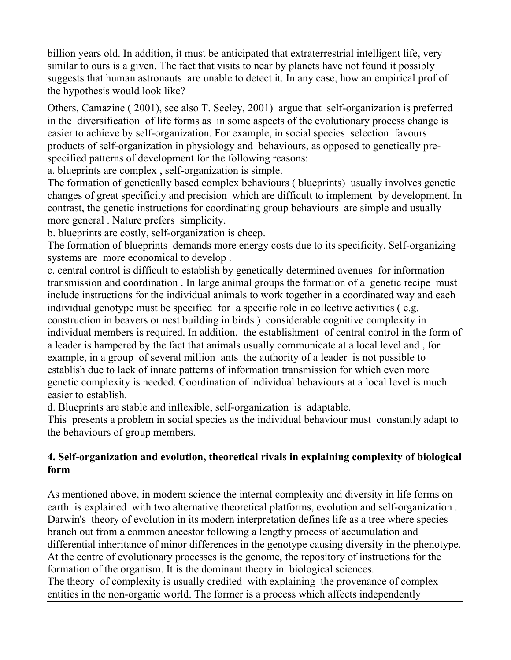billion years old. In addition, it must be anticipated that extraterrestrial intelligent life, very similar to ours is a given. The fact that visits to near by planets have not found it possibly suggests that human astronauts are unable to detect it. In any case, how an empirical prof of the hypothesis would look like?

Others, Camazine ( 2001), see also T. Seeley, 2001) argue that self-organization is preferred in the diversification of life forms as in some aspects of the evolutionary process change is easier to achieve by self-organization. For example, in social species selection favours products of self-organization in physiology and behaviours, as opposed to genetically prespecified patterns of development for the following reasons:

a. blueprints are complex , self-organization is simple.

The formation of genetically based complex behaviours ( blueprints) usually involves genetic changes of great specificity and precision which are difficult to implement by development. In contrast, the genetic instructions for coordinating group behaviours are simple and usually more general . Nature prefers simplicity.

b. blueprints are costly, self-organization is cheep.

The formation of blueprints demands more energy costs due to its specificity. Self-organizing systems are more economical to develop .

c. central control is difficult to establish by genetically determined avenues for information transmission and coordination . In large animal groups the formation of a genetic recipe must include instructions for the individual animals to work together in a coordinated way and each individual genotype must be specified for a specific role in collective activities ( e.g. construction in beavers or nest building in birds ) considerable cognitive complexity in individual members is required. In addition, the establishment of central control in the form of a leader is hampered by the fact that animals usually communicate at a local level and , for example, in a group of several million ants the authority of a leader is not possible to establish due to lack of innate patterns of information transmission for which even more genetic complexity is needed. Coordination of individual behaviours at a local level is much easier to establish.

d. Blueprints are stable and inflexible, self-organization is adaptable.

This presents a problem in social species as the individual behaviour must constantly adapt to the behaviours of group members.

## **4. Self-organization and evolution, theoretical rivals in explaining complexity of biological form**

As mentioned above, in modern science the internal complexity and diversity in life forms on earth is explained with two alternative theoretical platforms, evolution and self-organization . Darwin's theory of evolution in its modern interpretation defines life as a tree where species branch out from a common ancestor following a lengthy process of accumulation and differential inheritance of minor differences in the genotype causing diversity in the phenotype. At the centre of evolutionary processes is the genome, the repository of instructions for the formation of the organism. It is the dominant theory in biological sciences. The theory of complexity is usually credited with explaining the provenance of complex entities in the non-organic world. The former is a process which affects independently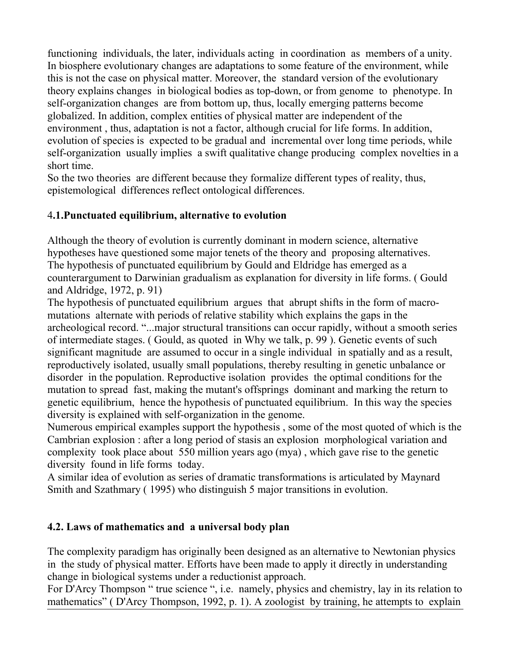functioning individuals, the later, individuals acting in coordination as members of a unity. In biosphere evolutionary changes are adaptations to some feature of the environment, while this is not the case on physical matter. Moreover, the standard version of the evolutionary theory explains changes in biological bodies as top-down, or from genome to phenotype. In self-organization changes are from bottom up, thus, locally emerging patterns become globalized. In addition, complex entities of physical matter are independent of the environment , thus, adaptation is not a factor, although crucial for life forms. In addition, evolution of species is expected to be gradual and incremental over long time periods, while self-organization usually implies a swift qualitative change producing complex novelties in a short time.

So the two theories are different because they formalize different types of reality, thus, epistemological differences reflect ontological differences.

## 4**.1.Punctuated equilibrium, alternative to evolution**

Although the theory of evolution is currently dominant in modern science, alternative hypotheses have questioned some major tenets of the theory and proposing alternatives. The hypothesis of punctuated equilibrium by Gould and Eldridge has emerged as a counterargument to Darwinian gradualism as explanation for diversity in life forms. ( Gould and Aldridge, 1972, p. 91)

The hypothesis of punctuated equilibrium argues that abrupt shifts in the form of macromutations alternate with periods of relative stability which explains the gaps in the archeological record. "...major structural transitions can occur rapidly, without a smooth series of intermediate stages. ( Gould, as quoted in Why we talk, p. 99 ). Genetic events of such significant magnitude are assumed to occur in a single individual in spatially and as a result, reproductively isolated, usually small populations, thereby resulting in genetic unbalance or disorder in the population. Reproductive isolation provides the optimal conditions for the mutation to spread fast, making the mutant's offsprings dominant and marking the return to genetic equilibrium, hence the hypothesis of punctuated equilibrium. In this way the species diversity is explained with self-organization in the genome.

Numerous empirical examples support the hypothesis , some of the most quoted of which is the Cambrian explosion : after a long period of stasis an explosion morphological variation and complexity took place about 550 million years ago (mya) , which gave rise to the genetic diversity found in life forms today.

A similar idea of evolution as series of dramatic transformations is articulated by Maynard Smith and Szathmary ( 1995) who distinguish 5 major transitions in evolution.

### **4.2. Laws of mathematics and a universal body plan**

The complexity paradigm has originally been designed as an alternative to Newtonian physics in the study of physical matter. Efforts have been made to apply it directly in understanding change in biological systems under a reductionist approach.

For D'Arcy Thompson " true science ", i.e. namely, physics and chemistry, lay in its relation to mathematics" (D'Arcy Thompson, 1992, p. 1). A zoologist by training, he attempts to explain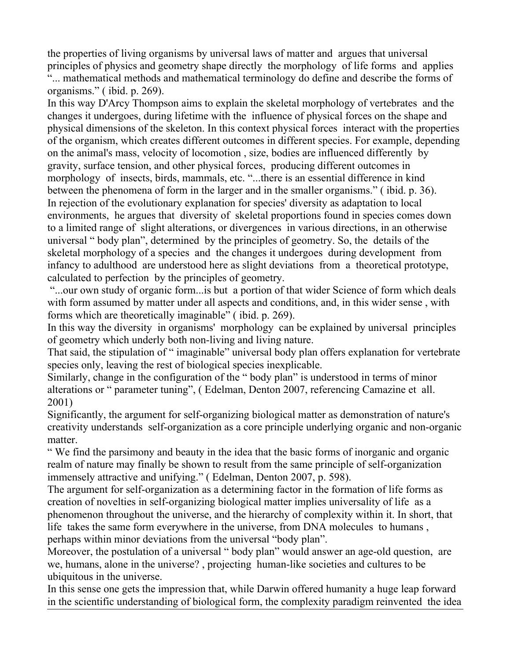the properties of living organisms by universal laws of matter and argues that universal principles of physics and geometry shape directly the morphology of life forms and applies "... mathematical methods and mathematical terminology do define and describe the forms of organisms." ( ibid. p. 269).

In this way D'Arcy Thompson aims to explain the skeletal morphology of vertebrates and the changes it undergoes, during lifetime with the influence of physical forces on the shape and physical dimensions of the skeleton. In this context physical forces interact with the properties of the organism, which creates different outcomes in different species. For example, depending on the animal's mass, velocity of locomotion , size, bodies are influenced differently by gravity, surface tension, and other physical forces, producing different outcomes in morphology of insects, birds, mammals, etc. "...there is an essential difference in kind between the phenomena of form in the larger and in the smaller organisms." ( ibid. p. 36). In rejection of the evolutionary explanation for species' diversity as adaptation to local environments, he argues that diversity of skeletal proportions found in species comes down to a limited range of slight alterations, or divergences in various directions, in an otherwise universal " body plan", determined by the principles of geometry. So, the details of the skeletal morphology of a species and the changes it undergoes during development from infancy to adulthood are understood here as slight deviations from a theoretical prototype, calculated to perfection by the principles of geometry.

 "...our own study of organic form...is but a portion of that wider Science of form which deals with form assumed by matter under all aspects and conditions, and, in this wider sense , with forms which are theoretically imaginable" ( ibid. p. 269).

In this way the diversity in organisms' morphology can be explained by universal principles of geometry which underly both non-living and living nature.

That said, the stipulation of " imaginable" universal body plan offers explanation for vertebrate species only, leaving the rest of biological species inexplicable.

Similarly, change in the configuration of the " body plan" is understood in terms of minor alterations or " parameter tuning", ( Edelman, Denton 2007, referencing Camazine et all. 2001)

Significantly, the argument for self-organizing biological matter as demonstration of nature's creativity understands self-organization as a core principle underlying organic and non-organic matter.

" We find the parsimony and beauty in the idea that the basic forms of inorganic and organic realm of nature may finally be shown to result from the same principle of self-organization immensely attractive and unifying." ( Edelman, Denton 2007, p. 598).

The argument for self-organization as a determining factor in the formation of life forms as creation of novelties in self-organizing biological matter implies universality of life as a phenomenon throughout the universe, and the hierarchy of complexity within it. In short, that life takes the same form everywhere in the universe, from DNA molecules to humans , perhaps within minor deviations from the universal "body plan".

Moreover, the postulation of a universal " body plan" would answer an age-old question, are we, humans, alone in the universe? , projecting human-like societies and cultures to be ubiquitous in the universe.

In this sense one gets the impression that, while Darwin offered humanity a huge leap forward in the scientific understanding of biological form, the complexity paradigm reinvented the idea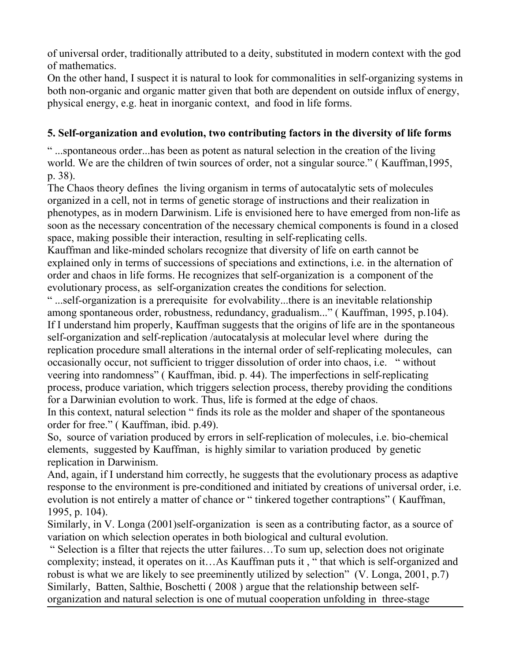of universal order, traditionally attributed to a deity, substituted in modern context with the god of mathematics.

On the other hand, I suspect it is natural to look for commonalities in self-organizing systems in both non-organic and organic matter given that both are dependent on outside influx of energy, physical energy, e.g. heat in inorganic context, and food in life forms.

## **5. Self-organization and evolution, two contributing factors in the diversity of life forms**

" ...spontaneous order...has been as potent as natural selection in the creation of the living world. We are the children of twin sources of order, not a singular source." ( Kauffman,1995, p. 38).

The Chaos theory defines the living organism in terms of autocatalytic sets of molecules organized in a cell, not in terms of genetic storage of instructions and their realization in phenotypes, as in modern Darwinism. Life is envisioned here to have emerged from non-life as soon as the necessary concentration of the necessary chemical components is found in a closed space, making possible their interaction, resulting in self-replicating cells.

Kauffman and like-minded scholars recognize that diversity of life on earth cannot be explained only in terms of successions of speciations and extinctions, i.e. in the alternation of order and chaos in life forms. He recognizes that self-organization is a component of the evolutionary process, as self-organization creates the conditions for selection.

" ...self-organization is a prerequisite for evolvability...there is an inevitable relationship among spontaneous order, robustness, redundancy, gradualism..." ( Kauffman, 1995, p.104). If I understand him properly, Kauffman suggests that the origins of life are in the spontaneous self-organization and self-replication /autocatalysis at molecular level where during the replication procedure small alterations in the internal order of self-replicating molecules, can occasionally occur, not sufficient to trigger dissolution of order into chaos, i.e. " without veering into randomness" ( Kauffman, ibid. p. 44). The imperfections in self-replicating process, produce variation, which triggers selection process, thereby providing the conditions for a Darwinian evolution to work. Thus, life is formed at the edge of chaos.

In this context, natural selection " finds its role as the molder and shaper of the spontaneous order for free." ( Kauffman, ibid. p.49).

So, source of variation produced by errors in self-replication of molecules, i.e. bio-chemical elements, suggested by Kauffman, is highly similar to variation produced by genetic replication in Darwinism.

And, again, if I understand him correctly, he suggests that the evolutionary process as adaptive response to the environment is pre-conditioned and initiated by creations of universal order, i.e. evolution is not entirely a matter of chance or " tinkered together contraptions" ( Kauffman, 1995, p. 104).

Similarly, in V. Longa (2001)self-organization is seen as a contributing factor, as a source of variation on which selection operates in both biological and cultural evolution.

 " Selection is a filter that rejects the utter failures…To sum up, selection does not originate complexity; instead, it operates on it…As Kauffman puts it , " that which is self-organized and robust is what we are likely to see preeminently utilized by selection" (V. Longa, 2001, p.7) Similarly, Batten, Salthie, Boschetti ( 2008 ) argue that the relationship between selforganization and natural selection is one of mutual cooperation unfolding in three-stage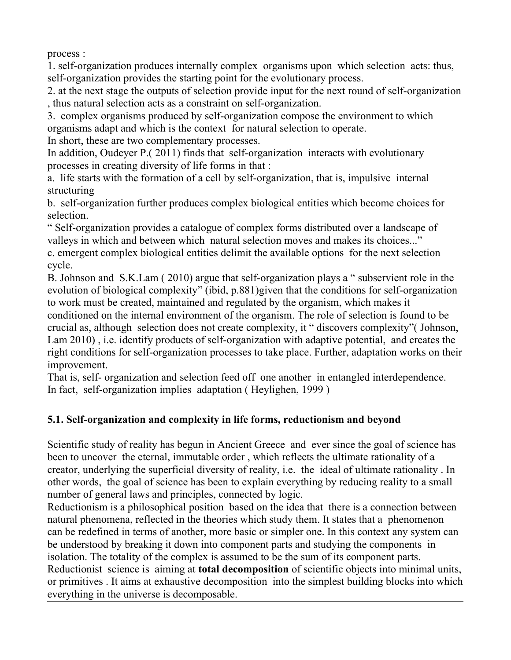process :

1. self-organization produces internally complex organisms upon which selection acts: thus, self-organization provides the starting point for the evolutionary process.

2. at the next stage the outputs of selection provide input for the next round of self-organization , thus natural selection acts as a constraint on self-organization.

3. complex organisms produced by self-organization compose the environment to which organisms adapt and which is the context for natural selection to operate.

In short, these are two complementary processes.

In addition, Oudeyer P.( 2011) finds that self-organization interacts with evolutionary processes in creating diversity of life forms in that :

a. life starts with the formation of a cell by self-organization, that is, impulsive internal structuring

b. self-organization further produces complex biological entities which become choices for selection.

" Self-organization provides a catalogue of complex forms distributed over a landscape of valleys in which and between which natural selection moves and makes its choices..."

c. emergent complex biological entities delimit the available options for the next selection cycle.

B. Johnson and S.K.Lam ( 2010) argue that self-organization plays a " subservient role in the evolution of biological complexity" (ibid, p.881)given that the conditions for self-organization to work must be created, maintained and regulated by the organism, which makes it conditioned on the internal environment of the organism. The role of selection is found to be crucial as, although selection does not create complexity, it " discovers complexity"( Johnson, Lam 2010) , i.e. identify products of self-organization with adaptive potential, and creates the right conditions for self-organization processes to take place. Further, adaptation works on their improvement.

That is, self- organization and selection feed off one another in entangled interdependence. In fact, self-organization implies adaptation ( Heylighen, 1999 )

# **5.1. Self-organization and complexity in life forms, reductionism and beyond**

Scientific study of reality has begun in Ancient Greece and ever since the goal of science has been to uncover the eternal, immutable order , which reflects the ultimate rationality of a creator, underlying the superficial diversity of reality, i.e. the ideal of ultimate rationality . In other words, the goal of science has been to explain everything by reducing reality to a small number of general laws and principles, connected by logic.

Reductionism is a philosophical position based on the idea that there is a connection between natural phenomena, reflected in the theories which study them. It states that a phenomenon can be redefined in terms of another, more basic or simpler one. In this context any system can be understood by breaking it down into component parts and studying the components in isolation. The totality of the complex is assumed to be the sum of its component parts.

Reductionist science is aiming at **total decomposition** of scientific objects into minimal units, or primitives . It aims at exhaustive decomposition into the simplest building blocks into which everything in the universe is decomposable.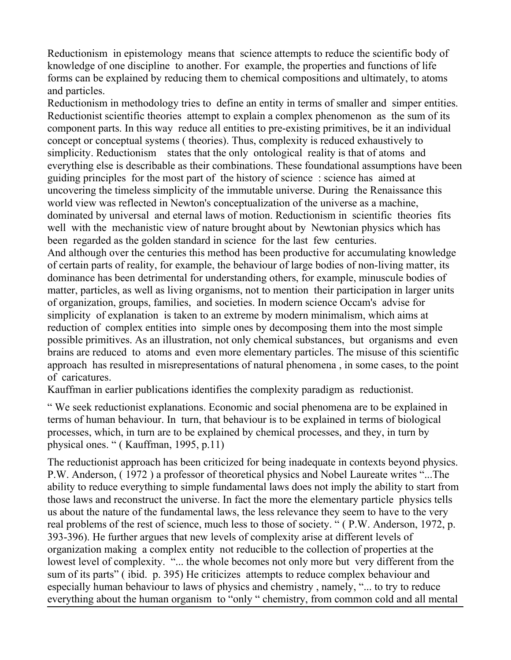Reductionism in epistemology means that science attempts to reduce the scientific body of knowledge of one discipline to another. For example, the properties and functions of life forms can be explained by reducing them to chemical compositions and ultimately, to atoms and particles.

Reductionism in methodology tries to define an entity in terms of smaller and simper entities. Reductionist scientific theories attempt to explain a complex phenomenon as the sum of its component parts. In this way reduce all entities to pre-existing primitives, be it an individual concept or conceptual systems ( theories). Thus, complexity is reduced exhaustively to simplicity. Reductionism states that the only ontological reality is that of atoms and everything else is describable as their combinations. These foundational assumptions have been guiding principles for the most part of the history of science : science has aimed at uncovering the timeless simplicity of the immutable universe. During the Renaissance this world view was reflected in Newton's conceptualization of the universe as a machine, dominated by universal and eternal laws of motion. Reductionism in scientific theories fits well with the mechanistic view of nature brought about by Newtonian physics which has been regarded as the golden standard in science for the last few centuries.

And although over the centuries this method has been productive for accumulating knowledge of certain parts of reality, for example, the behaviour of large bodies of non-living matter, its dominance has been detrimental for understanding others, for example, minuscule bodies of matter, particles, as well as living organisms, not to mention their participation in larger units of organization, groups, families, and societies. In modern science Occam's advise for simplicity of explanation is taken to an extreme by modern minimalism, which aims at reduction of complex entities into simple ones by decomposing them into the most simple possible primitives. As an illustration, not only chemical substances, but organisms and even brains are reduced to atoms and even more elementary particles. The misuse of this scientific approach has resulted in misrepresentations of natural phenomena , in some cases, to the point of caricatures.

Kauffman in earlier publications identifies the complexity paradigm as reductionist.

" We seek reductionist explanations. Economic and social phenomena are to be explained in terms of human behaviour. In turn, that behaviour is to be explained in terms of biological processes, which, in turn are to be explained by chemical processes, and they, in turn by physical ones. " ( Kauffman, 1995, p.11)

The reductionist approach has been criticized for being inadequate in contexts beyond physics. P.W. Anderson, ( 1972 ) a professor of theoretical physics and Nobel Laureate writes "...The ability to reduce everything to simple fundamental laws does not imply the ability to start from those laws and reconstruct the universe. In fact the more the elementary particle physics tells us about the nature of the fundamental laws, the less relevance they seem to have to the very real problems of the rest of science, much less to those of society. " ( P.W. Anderson, 1972, p. 393-396). He further argues that new levels of complexity arise at different levels of organization making a complex entity not reducible to the collection of properties at the lowest level of complexity. "... the whole becomes not only more but very different from the sum of its parts" ( ibid. p. 395) He criticizes attempts to reduce complex behaviour and especially human behaviour to laws of physics and chemistry , namely, "... to try to reduce everything about the human organism to "only " chemistry, from common cold and all mental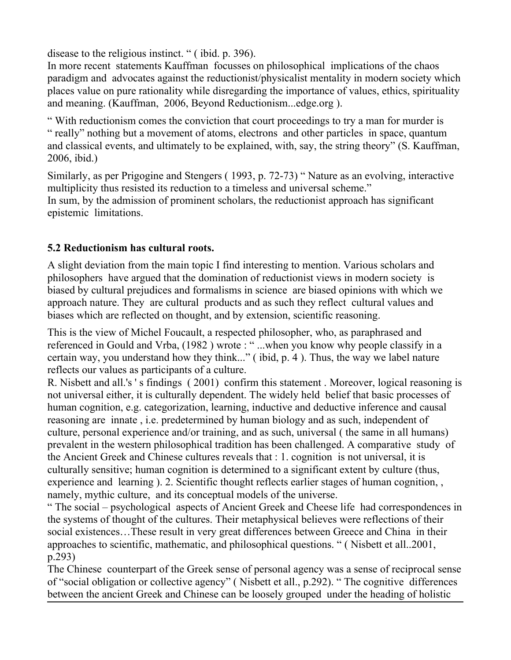disease to the religious instinct. " ( ibid. p. 396).

In more recent statements Kauffman focusses on philosophical implications of the chaos paradigm and advocates against the reductionist/physicalist mentality in modern society which places value on pure rationality while disregarding the importance of values, ethics, spirituality and meaning. (Kauffman, 2006, Beyond Reductionism...edge.org ).

" With reductionism comes the conviction that court proceedings to try a man for murder is " really" nothing but a movement of atoms, electrons and other particles in space, quantum and classical events, and ultimately to be explained, with, say, the string theory" (S. Kauffman, 2006, ibid.)

Similarly, as per Prigogine and Stengers ( 1993, p. 72-73) " Nature as an evolving, interactive multiplicity thus resisted its reduction to a timeless and universal scheme." In sum, by the admission of prominent scholars, the reductionist approach has significant epistemic limitations.

## **5.2 Reductionism has cultural roots.**

A slight deviation from the main topic I find interesting to mention. Various scholars and philosophers have argued that the domination of reductionist views in modern society is biased by cultural prejudices and formalisms in science are biased opinions with which we approach nature. They are cultural products and as such they reflect cultural values and biases which are reflected on thought, and by extension, scientific reasoning.

This is the view of Michel Foucault, a respected philosopher, who, as paraphrased and referenced in Gould and Vrba, (1982 ) wrote : " ...when you know why people classify in a certain way, you understand how they think..." ( ibid, p. 4 ). Thus, the way we label nature reflects our values as participants of a culture.

R. Nisbett and all.'s ' s findings ( 2001) confirm this statement . Moreover, logical reasoning is not universal either, it is culturally dependent. The widely held belief that basic processes of human cognition, e.g. categorization, learning, inductive and deductive inference and causal reasoning are innate , i.e. predetermined by human biology and as such, independent of culture, personal experience and/or training, and as such, universal ( the same in all humans) prevalent in the western philosophical tradition has been challenged. A comparative study of the Ancient Greek and Chinese cultures reveals that : 1. cognition is not universal, it is culturally sensitive; human cognition is determined to a significant extent by culture (thus, experience and learning ). 2. Scientific thought reflects earlier stages of human cognition, , namely, mythic culture, and its conceptual models of the universe.

" The social – psychological aspects of Ancient Greek and Cheese life had correspondences in the systems of thought of the cultures. Their metaphysical believes were reflections of their social existences…These result in very great differences between Greece and China in their approaches to scientific, mathematic, and philosophical questions. " ( Nisbett et all..2001, p.293)

The Chinese counterpart of the Greek sense of personal agency was a sense of reciprocal sense of "social obligation or collective agency" ( Nisbett et all., p.292). " The cognitive differences between the ancient Greek and Chinese can be loosely grouped under the heading of holistic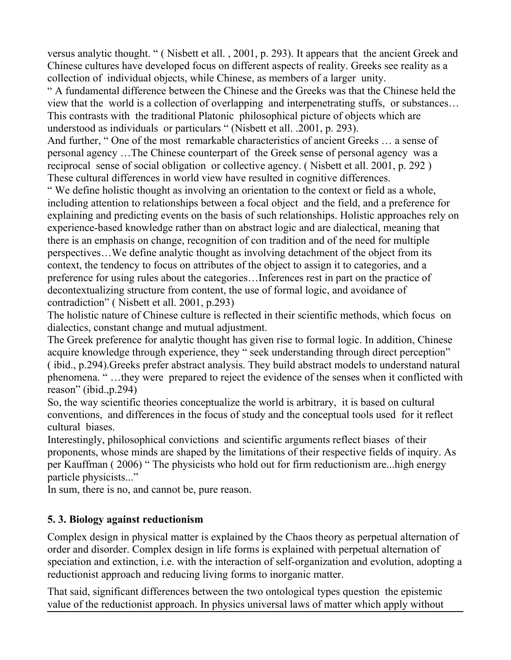versus analytic thought. " ( Nisbett et all. , 2001, p. 293). It appears that the ancient Greek and Chinese cultures have developed focus on different aspects of reality. Greeks see reality as a collection of individual objects, while Chinese, as members of a larger unity.

" A fundamental difference between the Chinese and the Greeks was that the Chinese held the view that the world is a collection of overlapping and interpenetrating stuffs, or substances… This contrasts with the traditional Platonic philosophical picture of objects which are understood as individuals or particulars " (Nisbett et all. .2001, p. 293).

And further, " One of the most remarkable characteristics of ancient Greeks … a sense of personal agency …The Chinese counterpart of the Greek sense of personal agency was a reciprocal sense of social obligation or collective agency. ( Nisbett et all. 2001, p. 292 ) These cultural differences in world view have resulted in cognitive differences.

" We define holistic thought as involving an orientation to the context or field as a whole, including attention to relationships between a focal object and the field, and a preference for explaining and predicting events on the basis of such relationships. Holistic approaches rely on experience-based knowledge rather than on abstract logic and are dialectical, meaning that there is an emphasis on change, recognition of con tradition and of the need for multiple perspectives…We define analytic thought as involving detachment of the object from its context, the tendency to focus on attributes of the object to assign it to categories, and a preference for using rules about the categories…Inferences rest in part on the practice of decontextualizing structure from content, the use of formal logic, and avoidance of contradiction" ( Nisbett et all. 2001, p.293)

The holistic nature of Chinese culture is reflected in their scientific methods, which focus on dialectics, constant change and mutual adjustment.

The Greek preference for analytic thought has given rise to formal logic. In addition, Chinese acquire knowledge through experience, they " seek understanding through direct perception" ( ibid., p.294).Greeks prefer abstract analysis. They build abstract models to understand natural phenomena. " …they were prepared to reject the evidence of the senses when it conflicted with reason" (ibid.,p.294)

So, the way scientific theories conceptualize the world is arbitrary, it is based on cultural conventions, and differences in the focus of study and the conceptual tools used for it reflect cultural biases.

Interestingly, philosophical convictions and scientific arguments reflect biases of their proponents, whose minds are shaped by the limitations of their respective fields of inquiry. As per Kauffman ( 2006) " The physicists who hold out for firm reductionism are...high energy particle physicists..."

In sum, there is no, and cannot be, pure reason.

## **5. 3. Biology against reductionism**

Complex design in physical matter is explained by the Chaos theory as perpetual alternation of order and disorder. Complex design in life forms is explained with perpetual alternation of speciation and extinction, i.e. with the interaction of self-organization and evolution, adopting a reductionist approach and reducing living forms to inorganic matter.

That said, significant differences between the two ontological types question the epistemic value of the reductionist approach. In physics universal laws of matter which apply without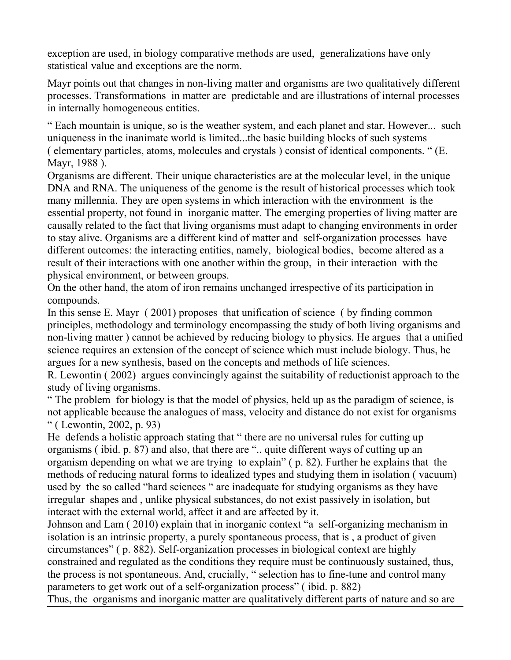exception are used, in biology comparative methods are used, generalizations have only statistical value and exceptions are the norm.

Mayr points out that changes in non-living matter and organisms are two qualitatively different processes. Transformations in matter are predictable and are illustrations of internal processes in internally homogeneous entities.

" Each mountain is unique, so is the weather system, and each planet and star. However... such uniqueness in the inanimate world is limited...the basic building blocks of such systems ( elementary particles, atoms, molecules and crystals ) consist of identical components. " (E. Mayr, 1988 ).

Organisms are different. Their unique characteristics are at the molecular level, in the unique DNA and RNA. The uniqueness of the genome is the result of historical processes which took many millennia. They are open systems in which interaction with the environment is the essential property, not found in inorganic matter. The emerging properties of living matter are causally related to the fact that living organisms must adapt to changing environments in order to stay alive. Organisms are a different kind of matter and self-organization processes have different outcomes: the interacting entities, namely, biological bodies, become altered as a result of their interactions with one another within the group, in their interaction with the physical environment, or between groups.

On the other hand, the atom of iron remains unchanged irrespective of its participation in compounds.

In this sense E. Mayr ( 2001) proposes that unification of science ( by finding common principles, methodology and terminology encompassing the study of both living organisms and non-living matter ) cannot be achieved by reducing biology to physics. He argues that a unified science requires an extension of the concept of science which must include biology. Thus, he argues for a new synthesis, based on the concepts and methods of life sciences.

R. Lewontin ( 2002) argues convincingly against the suitability of reductionist approach to the study of living organisms.

" The problem for biology is that the model of physics, held up as the paradigm of science, is not applicable because the analogues of mass, velocity and distance do not exist for organisms " ( Lewontin, 2002, p. 93)

He defends a holistic approach stating that " there are no universal rules for cutting up organisms ( ibid. p. 87) and also, that there are ".. quite different ways of cutting up an organism depending on what we are trying to explain" ( p. 82). Further he explains that the methods of reducing natural forms to idealized types and studying them in isolation ( vacuum) used by the so called "hard sciences " are inadequate for studying organisms as they have irregular shapes and , unlike physical substances, do not exist passively in isolation, but interact with the external world, affect it and are affected by it.

Johnson and Lam ( 2010) explain that in inorganic context "a self-organizing mechanism in isolation is an intrinsic property, a purely spontaneous process, that is , a product of given circumstances" ( p. 882). Self-organization processes in biological context are highly constrained and regulated as the conditions they require must be continuously sustained, thus, the process is not spontaneous. And, crucially, " selection has to fine-tune and control many parameters to get work out of a self-organization process" ( ibid. p. 882)

Thus, the organisms and inorganic matter are qualitatively different parts of nature and so are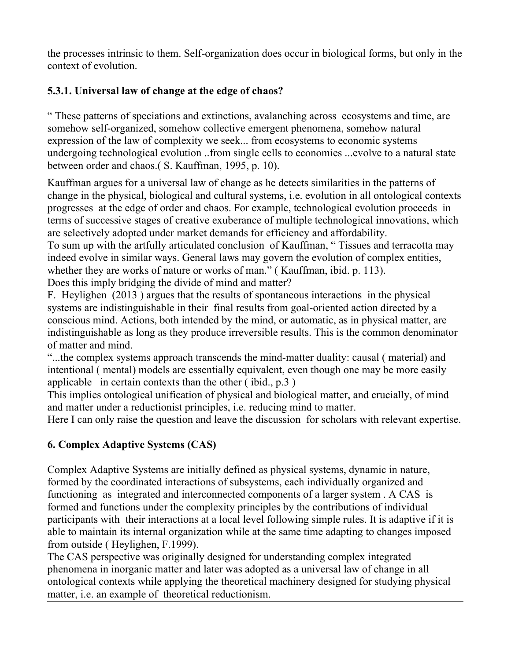the processes intrinsic to them. Self-organization does occur in biological forms, but only in the context of evolution.

# **5.3.1. Universal law of change at the edge of chaos?**

" These patterns of speciations and extinctions, avalanching across ecosystems and time, are somehow self-organized, somehow collective emergent phenomena, somehow natural expression of the law of complexity we seek... from ecosystems to economic systems undergoing technological evolution ..from single cells to economies ...evolve to a natural state between order and chaos.( S. Kauffman, 1995, p. 10).

Kauffman argues for a universal law of change as he detects similarities in the patterns of change in the physical, biological and cultural systems, i.e. evolution in all ontological contexts progresses at the edge of order and chaos. For example, technological evolution proceeds in terms of successive stages of creative exuberance of multiple technological innovations, which are selectively adopted under market demands for efficiency and affordability.

To sum up with the artfully articulated conclusion of Kauffman, " Tissues and terracotta may indeed evolve in similar ways. General laws may govern the evolution of complex entities, whether they are works of nature or works of man." (Kauffman, ibid. p. 113).

Does this imply bridging the divide of mind and matter?

F. Heylighen (2013 ) argues that the results of spontaneous interactions in the physical systems are indistinguishable in their final results from goal-oriented action directed by a conscious mind. Actions, both intended by the mind, or automatic, as in physical matter, are indistinguishable as long as they produce irreversible results. This is the common denominator of matter and mind.

"...the complex systems approach transcends the mind-matter duality: causal ( material) and intentional ( mental) models are essentially equivalent, even though one may be more easily applicable in certain contexts than the other ( ibid., p.3 )

This implies ontological unification of physical and biological matter, and crucially, of mind and matter under a reductionist principles, i.e. reducing mind to matter.

Here I can only raise the question and leave the discussion for scholars with relevant expertise.

# **6. Complex Adaptive Systems (CAS)**

Complex Adaptive Systems are initially defined as physical systems, dynamic in nature, formed by the coordinated interactions of subsystems, each individually organized and functioning as integrated and interconnected components of a larger system . A CAS is formed and functions under the complexity principles by the contributions of individual participants with their interactions at a local level following simple rules. It is adaptive if it is able to maintain its internal organization while at the same time adapting to changes imposed from outside ( Heylighen, F.1999).

The CAS perspective was originally designed for understanding complex integrated phenomena in inorganic matter and later was adopted as a universal law of change in all ontological contexts while applying the theoretical machinery designed for studying physical matter, i.e. an example of theoretical reductionism.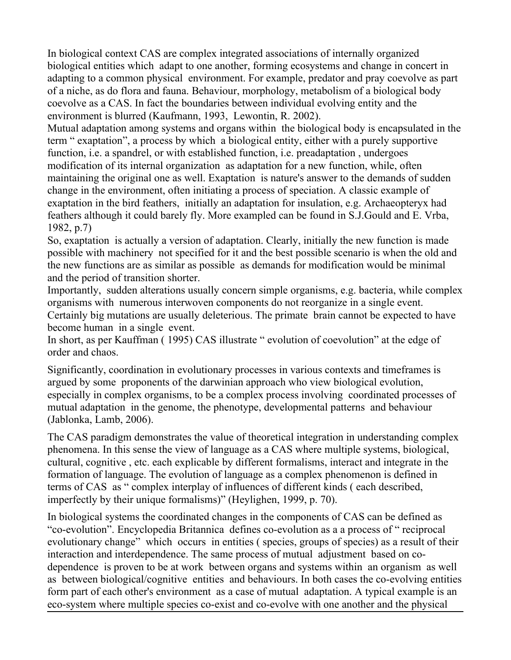In biological context CAS are complex integrated associations of internally organized biological entities which adapt to one another, forming ecosystems and change in concert in adapting to a common physical environment. For example, predator and pray coevolve as part of a niche, as do flora and fauna. Behaviour, morphology, metabolism of a biological body coevolve as a CAS. In fact the boundaries between individual evolving entity and the environment is blurred (Kaufmann, 1993, Lewontin, R. 2002).

Mutual adaptation among systems and organs within the biological body is encapsulated in the term " exaptation", a process by which a biological entity, either with a purely supportive function, i.e. a spandrel, or with established function, i.e. preadaptation , undergoes modification of its internal organization as adaptation for a new function, while, often maintaining the original one as well. Exaptation is nature's answer to the demands of sudden change in the environment, often initiating a process of speciation. A classic example of exaptation in the bird feathers, initially an adaptation for insulation, e.g. Archaeopteryx had feathers although it could barely fly. More exampled can be found in S.J.Gould and E. Vrba, 1982, p.7)

So, exaptation is actually a version of adaptation. Clearly, initially the new function is made possible with machinery not specified for it and the best possible scenario is when the old and the new functions are as similar as possible as demands for modification would be minimal and the period of transition shorter.

Importantly, sudden alterations usually concern simple organisms, e.g. bacteria, while complex organisms with numerous interwoven components do not reorganize in a single event. Certainly big mutations are usually deleterious. The primate brain cannot be expected to have become human in a single event.

In short, as per Kauffman ( 1995) CAS illustrate " evolution of coevolution" at the edge of order and chaos.

Significantly, coordination in evolutionary processes in various contexts and timeframes is argued by some proponents of the darwinian approach who view biological evolution, especially in complex organisms, to be a complex process involving coordinated processes of mutual adaptation in the genome, the phenotype, developmental patterns and behaviour (Jablonka, Lamb, 2006).

The CAS paradigm demonstrates the value of theoretical integration in understanding complex phenomena. In this sense the view of language as a CAS where multiple systems, biological, cultural, cognitive , etc. each explicable by different formalisms, interact and integrate in the formation of language. The evolution of language as a complex phenomenon is defined in terms of CAS as " complex interplay of influences of different kinds ( each described, imperfectly by their unique formalisms)" (Heylighen, 1999, p. 70).

In biological systems the coordinated changes in the components of CAS can be defined as "co-evolution". Encyclopedia Britannica defines co-evolution as a a process of " reciprocal evolutionary change" which occurs in entities ( species, groups of species) as a result of their interaction and interdependence. The same process of mutual adjustment based on codependence is proven to be at work between organs and systems within an organism as well as between biological/cognitive entities and behaviours. In both cases the co-evolving entities form part of each other's environment as a case of mutual adaptation. A typical example is an eco-system where multiple species co-exist and co-evolve with one another and the physical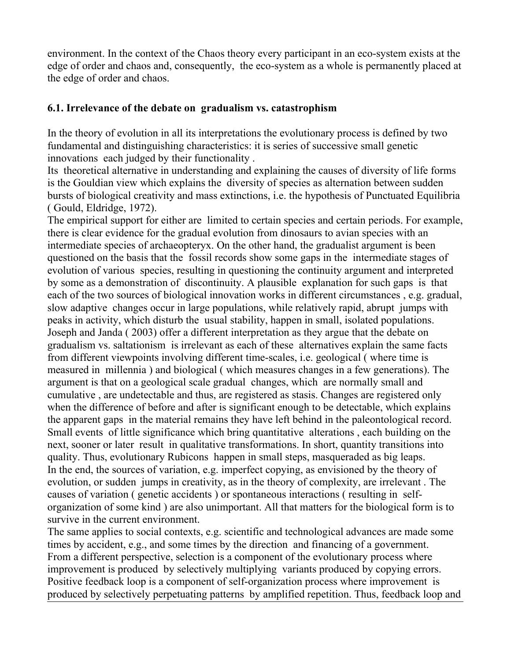environment. In the context of the Chaos theory every participant in an eco-system exists at the edge of order and chaos and, consequently, the eco-system as a whole is permanently placed at the edge of order and chaos.

### **6.1. Irrelevance of the debate on gradualism vs. catastrophism**

In the theory of evolution in all its interpretations the evolutionary process is defined by two fundamental and distinguishing characteristics: it is series of successive small genetic innovations each judged by their functionality .

Its theoretical alternative in understanding and explaining the causes of diversity of life forms is the Gouldian view which explains the diversity of species as alternation between sudden bursts of biological creativity and mass extinctions, i.e. the hypothesis of Punctuated Equilibria ( Gould, Eldridge, 1972).

The empirical support for either are limited to certain species and certain periods. For example, there is clear evidence for the gradual evolution from dinosaurs to avian species with an intermediate species of archaeopteryx. On the other hand, the gradualist argument is been questioned on the basis that the fossil records show some gaps in the intermediate stages of evolution of various species, resulting in questioning the continuity argument and interpreted by some as a demonstration of discontinuity. A plausible explanation for such gaps is that each of the two sources of biological innovation works in different circumstances , e.g. gradual, slow adaptive changes occur in large populations, while relatively rapid, abrupt jumps with peaks in activity, which disturb the usual stability, happen in small, isolated populations. Joseph and Janda ( 2003) offer a different interpretation as they argue that the debate on gradualism vs. saltationism is irrelevant as each of these alternatives explain the same facts from different viewpoints involving different time-scales, i.e. geological ( where time is measured in millennia ) and biological ( which measures changes in a few generations). The argument is that on a geological scale gradual changes, which are normally small and cumulative , are undetectable and thus, are registered as stasis. Changes are registered only when the difference of before and after is significant enough to be detectable, which explains the apparent gaps in the material remains they have left behind in the paleontological record. Small events of little significance which bring quantitative alterations , each building on the next, sooner or later result in qualitative transformations. In short, quantity transitions into quality. Thus, evolutionary Rubicons happen in small steps, masqueraded as big leaps. In the end, the sources of variation, e.g. imperfect copying, as envisioned by the theory of evolution, or sudden jumps in creativity, as in the theory of complexity, are irrelevant . The causes of variation ( genetic accidents ) or spontaneous interactions ( resulting in selforganization of some kind ) are also unimportant. All that matters for the biological form is to survive in the current environment.

The same applies to social contexts, e.g. scientific and technological advances are made some times by accident, e.g., and some times by the direction and financing of a government. From a different perspective, selection is a component of the evolutionary process where improvement is produced by selectively multiplying variants produced by copying errors. Positive feedback loop is a component of self-organization process where improvement is produced by selectively perpetuating patterns by amplified repetition. Thus, feedback loop and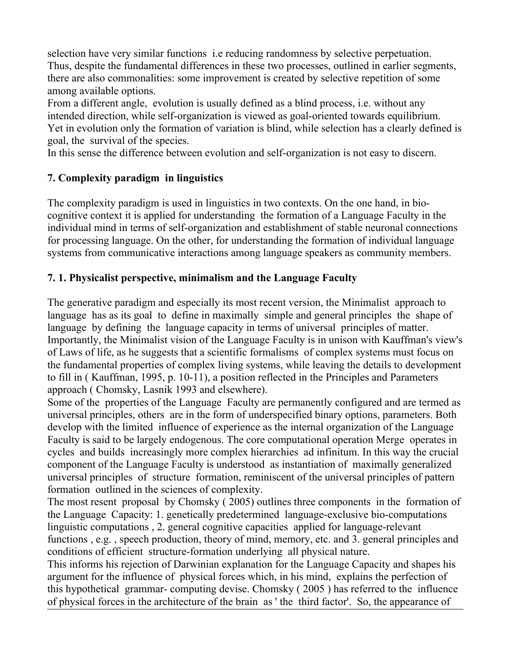selection have very similar functions i.e reducing randomness by selective perpetuation. Thus, despite the fundamental differences in these two processes, outlined in earlier segments, there are also commonalities: some improvement is created by selective repetition of some among available options.

From a different angle, evolution is usually defined as a blind process, i.e. without any intended direction, while self-organization is viewed as goal-oriented towards equilibrium. Yet in evolution only the formation of variation is blind, while selection has a clearly defined is goal, the survival of the species.

In this sense the difference between evolution and self-organization is not easy to discern.

## **7. Complexity paradigm in linguistics**

The complexity paradigm is used in linguistics in two contexts. On the one hand, in biocognitive context it is applied for understanding the formation of a Language Faculty in the individual mind in terms of self-organization and establishment of stable neuronal connections for processing language. On the other, for understanding the formation of individual language systems from communicative interactions among language speakers as community members.

### **7. 1. Physicalist perspective, minimalism and the Language Faculty**

The generative paradigm and especially its most recent version, the Minimalist approach to language has as its goal to define in maximally simple and general principles the shape of language by defining the language capacity in terms of universal principles of matter. Importantly, the Minimalist vision of the Language Faculty is in unison with Kauffman's view's of Laws of life, as he suggests that a scientific formalisms of complex systems must focus on the fundamental properties of complex living systems, while leaving the details to development to fill in ( Kauffman, 1995, p. 10-11), a position reflected in the Principles and Parameters approach ( Chomsky, Lasnik 1993 and elsewhere).

Some of the properties of the Language Faculty are permanently configured and are termed as universal principles, others are in the form of underspecified binary options, parameters. Both develop with the limited influence of experience as the internal organization of the Language Faculty is said to be largely endogenous. The core computational operation Merge operates in cycles and builds increasingly more complex hierarchies ad infinitum. In this way the crucial component of the Language Faculty is understood as instantiation of maximally generalized universal principles of structure formation, reminiscent of the universal principles of pattern formation outlined in the sciences of complexity.

The most resent proposal by Chomsky ( 2005) outlines three components in the formation of the Language Capacity: 1. genetically predetermined language-exclusive bio-computations linguistic computations , 2. general cognitive capacities applied for language-relevant functions , e.g. , speech production, theory of mind, memory, etc. and 3. general principles and conditions of efficient structure-formation underlying all physical nature.

This informs his rejection of Darwinian explanation for the Language Capacity and shapes his argument for the influence of physical forces which, in his mind, explains the perfection of this hypothetical grammar- computing devise. Chomsky ( 2005 ) has referred to the influence of physical forces in the architecture of the brain as ' the third factor'. So, the appearance of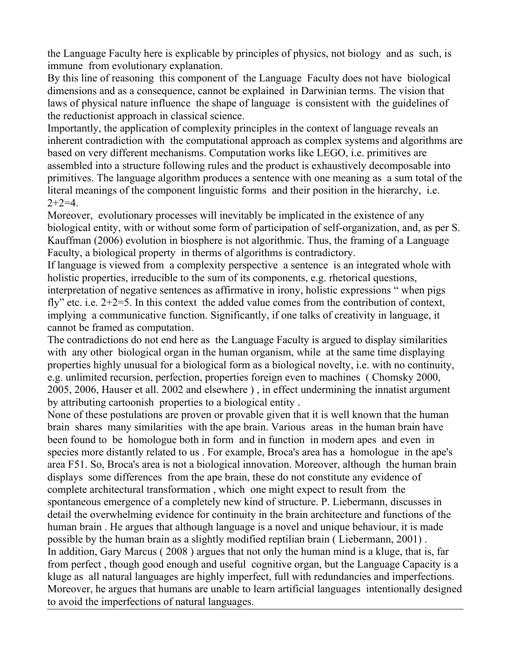the Language Faculty here is explicable by principles of physics, not biology and as such, is immune from evolutionary explanation.

By this line of reasoning this component of the Language Faculty does not have biological dimensions and as a consequence, cannot be explained in Darwinian terms. The vision that laws of physical nature influence the shape of language is consistent with the guidelines of the reductionist approach in classical science.

Importantly, the application of complexity principles in the context of language reveals an inherent contradiction with the computational approach as complex systems and algorithms are based on very different mechanisms. Computation works like LEGO, i.e. primitives are assembled into a structure following rules and the product is exhaustively decomposable into primitives. The language algorithm produces a sentence with one meaning as a sum total of the literal meanings of the component linguistic forms and their position in the hierarchy, i.e.  $2+2=4$ .

Moreover, evolutionary processes will inevitably be implicated in the existence of any biological entity, with or without some form of participation of self-organization, and, as per S. Kauffman (2006) evolution in biosphere is not algorithmic. Thus, the framing of a Language Faculty, a biological property in therms of algorithms is contradictory.

If language is viewed from a complexity perspective a sentence is an integrated whole with holistic properties, irreducible to the sum of its components, e.g. rhetorical questions, interpretation of negative sentences as affirmative in irony, holistic expressions " when pigs fly" etc. i.e. 2+2=5. In this context the added value comes from the contribution of context, implying a communicative function. Significantly, if one talks of creativity in language, it cannot be framed as computation.

The contradictions do not end here as the Language Faculty is argued to display similarities with any other biological organ in the human organism, while at the same time displaying properties highly unusual for a biological form as a biological novelty, i.e. with no continuity, e.g. unlimited recursion, perfection, properties foreign even to machines ( Chomsky 2000, 2005, 2006, Hauser et all. 2002 and elsewhere ) , in effect undermining the innatist argument by attributing cartoonish properties to a biological entity .

None of these postulations are proven or provable given that it is well known that the human brain shares many similarities with the ape brain. Various areas in the human brain have been found to be homologue both in form and in function in modern apes and even in species more distantly related to us . For example, Broca's area has a homologue in the ape's area F51. So, Broca's area is not a biological innovation. Moreover, although the human brain displays some differences from the ape brain, these do not constitute any evidence of complete architectural transformation , which one might expect to result from the spontaneous emergence of a completely new kind of structure. P. Liebermann, discusses in detail the overwhelming evidence for continuity in the brain architecture and functions of the human brain . He argues that although language is a novel and unique behaviour, it is made possible by the human brain as a slightly modified reptilian brain ( Liebermann, 2001) . In addition, Gary Marcus ( 2008 ) argues that not only the human mind is a kluge, that is, far from perfect , though good enough and useful cognitive organ, but the Language Capacity is a kluge as all natural languages are highly imperfect, full with redundancies and imperfections. Moreover, he argues that humans are unable to learn artificial languages intentionally designed to avoid the imperfections of natural languages.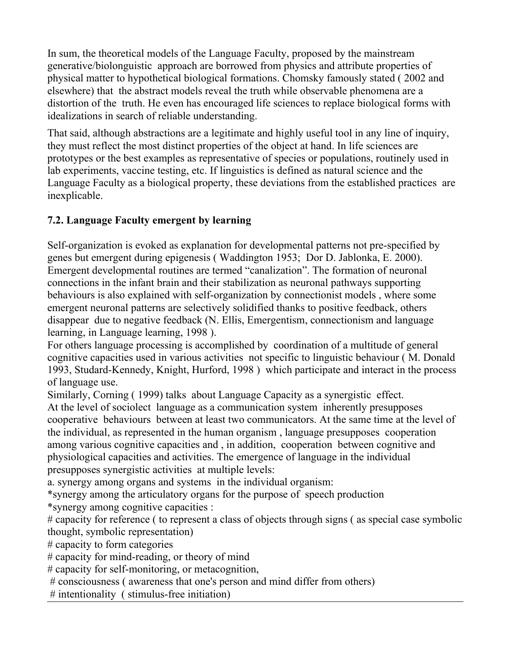In sum, the theoretical models of the Language Faculty, proposed by the mainstream generative/biolonguistic approach are borrowed from physics and attribute properties of physical matter to hypothetical biological formations. Chomsky famously stated ( 2002 and elsewhere) that the abstract models reveal the truth while observable phenomena are a distortion of the truth. He even has encouraged life sciences to replace biological forms with idealizations in search of reliable understanding.

That said, although abstractions are a legitimate and highly useful tool in any line of inquiry, they must reflect the most distinct properties of the object at hand. In life sciences are prototypes or the best examples as representative of species or populations, routinely used in lab experiments, vaccine testing, etc. If linguistics is defined as natural science and the Language Faculty as a biological property, these deviations from the established practices are inexplicable.

# **7.2. Language Faculty emergent by learning**

Self-organization is evoked as explanation for developmental patterns not pre-specified by genes but emergent during epigenesis ( Waddington 1953; Dor D. Jablonka, E. 2000). Emergent developmental routines are termed "canalization". The formation of neuronal connections in the infant brain and their stabilization as neuronal pathways supporting behaviours is also explained with self-organization by connectionist models , where some emergent neuronal patterns are selectively solidified thanks to positive feedback, others disappear due to negative feedback (N. Ellis, Emergentism, connectionism and language learning, in Language learning, 1998 ).

For others language processing is accomplished by coordination of a multitude of general cognitive capacities used in various activities not specific to linguistic behaviour ( M. Donald 1993, Studard-Kennedy, Knight, Hurford, 1998 ) which participate and interact in the process of language use.

Similarly, Corning ( 1999) talks about Language Capacity as a synergistic effect. At the level of sociolect language as a communication system inherently presupposes cooperative behaviours between at least two communicators. At the same time at the level of the individual, as represented in the human organism , language presupposes cooperation among various cognitive capacities and , in addition, cooperation between cognitive and physiological capacities and activities. The emergence of language in the individual presupposes synergistic activities at multiple levels:

a. synergy among organs and systems in the individual organism:

\*synergy among the articulatory organs for the purpose of speech production

\*synergy among cognitive capacities :

# capacity for reference ( to represent a class of objects through signs ( as special case symbolic thought, symbolic representation)

# capacity to form categories

# capacity for mind-reading, or theory of mind

# capacity for self-monitoring, or metacognition,

# consciousness ( awareness that one's person and mind differ from others)

# intentionality ( stimulus-free initiation)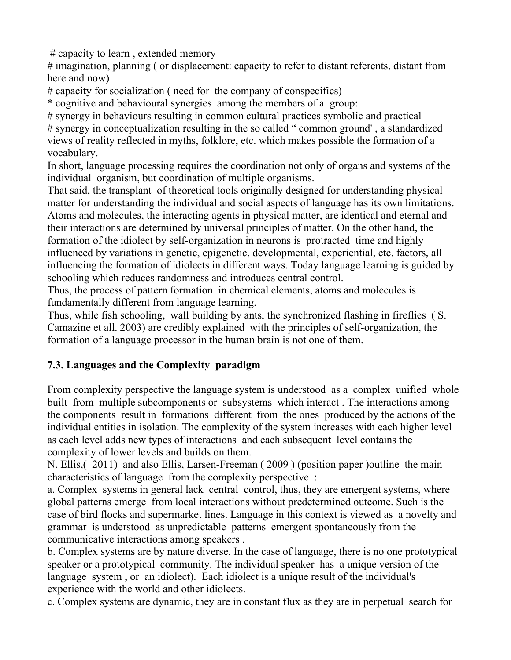# capacity to learn , extended memory

# imagination, planning ( or displacement: capacity to refer to distant referents, distant from here and now)

# capacity for socialization ( need for the company of conspecifics)

\* cognitive and behavioural synergies among the members of a group:

# synergy in behaviours resulting in common cultural practices symbolic and practical # synergy in conceptualization resulting in the so called " common ground' , a standardized views of reality reflected in myths, folklore, etc. which makes possible the formation of a vocabulary.

In short, language processing requires the coordination not only of organs and systems of the individual organism, but coordination of multiple organisms.

That said, the transplant of theoretical tools originally designed for understanding physical matter for understanding the individual and social aspects of language has its own limitations. Atoms and molecules, the interacting agents in physical matter, are identical and eternal and their interactions are determined by universal principles of matter. On the other hand, the formation of the idiolect by self-organization in neurons is protracted time and highly influenced by variations in genetic, epigenetic, developmental, experiential, etc. factors, all influencing the formation of idiolects in different ways. Today language learning is guided by schooling which reduces randomness and introduces central control.

Thus, the process of pattern formation in chemical elements, atoms and molecules is fundamentally different from language learning.

Thus, while fish schooling, wall building by ants, the synchronized flashing in fireflies ( S. Camazine et all. 2003) are credibly explained with the principles of self-organization, the formation of a language processor in the human brain is not one of them.

# **7.3. Languages and the Complexity paradigm**

From complexity perspective the language system is understood as a complex unified whole built from multiple subcomponents or subsystems which interact . The interactions among the components result in formations different from the ones produced by the actions of the individual entities in isolation. The complexity of the system increases with each higher level as each level adds new types of interactions and each subsequent level contains the complexity of lower levels and builds on them.

N. Ellis,( 2011) and also Ellis, Larsen-Freeman ( 2009 ) (position paper )outline the main characteristics of language from the complexity perspective :

a. Complex systems in general lack central control, thus, they are emergent systems, where global patterns emerge from local interactions without predetermined outcome. Such is the case of bird flocks and supermarket lines. Language in this context is viewed as a novelty and grammar is understood as unpredictable patterns emergent spontaneously from the communicative interactions among speakers .

b. Complex systems are by nature diverse. In the case of language, there is no one prototypical speaker or a prototypical community. The individual speaker has a unique version of the language system, or an idiolect). Each idiolect is a unique result of the individual's experience with the world and other idiolects.

c. Complex systems are dynamic, they are in constant flux as they are in perpetual search for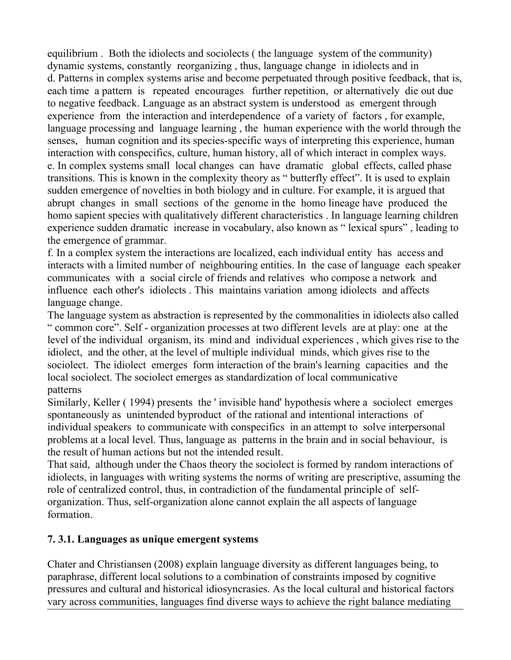equilibrium . Both the idiolects and sociolects ( the language system of the community) dynamic systems, constantly reorganizing , thus, language change in idiolects and in d. Patterns in complex systems arise and become perpetuated through positive feedback, that is, each time a pattern is repeated encourages further repetition, or alternatively die out due to negative feedback. Language as an abstract system is understood as emergent through experience from the interaction and interdependence of a variety of factors , for example, language processing and language learning , the human experience with the world through the senses, human cognition and its species-specific ways of interpreting this experience, human interaction with conspecifics, culture, human history, all of which interact in complex ways. e. In complex systems small local changes can have dramatic global effects, called phase transitions. This is known in the complexity theory as " butterfly effect". It is used to explain sudden emergence of novelties in both biology and in culture. For example, it is argued that abrupt changes in small sections of the genome in the homo lineage have produced the homo sapient species with qualitatively different characteristics . In language learning children experience sudden dramatic increase in vocabulary, also known as " lexical spurs" , leading to the emergence of grammar.

f. In a complex system the interactions are localized, each individual entity has access and interacts with a limited number of neighbouring entities. In the case of language each speaker communicates with a social circle of friends and relatives who compose a network and influence each other's idiolects . This maintains variation among idiolects and affects language change.

The language system as abstraction is represented by the commonalities in idiolects also called " common core". Self - organization processes at two different levels are at play: one at the level of the individual organism, its mind and individual experiences , which gives rise to the idiolect, and the other, at the level of multiple individual minds, which gives rise to the sociolect. The idiolect emerges form interaction of the brain's learning capacities and the local sociolect. The sociolect emerges as standardization of local communicative patterns

Similarly, Keller ( 1994) presents the ' invisible hand' hypothesis where a sociolect emerges spontaneously as unintended byproduct of the rational and intentional interactions of individual speakers to communicate with conspecifics in an attempt to solve interpersonal problems at a local level. Thus, language as patterns in the brain and in social behaviour, is the result of human actions but not the intended result.

That said, although under the Chaos theory the sociolect is formed by random interactions of idiolects, in languages with writing systems the norms of writing are prescriptive, assuming the role of centralized control, thus, in contradiction of the fundamental principle of selforganization. Thus, self-organization alone cannot explain the all aspects of language formation.

## **7. 3.1. Languages as unique emergent systems**

Chater and Christiansen (2008) explain language diversity as different languages being, to paraphrase, different local solutions to a combination of constraints imposed by cognitive pressures and cultural and historical idiosyncrasies. As the local cultural and historical factors vary across communities, languages find diverse ways to achieve the right balance mediating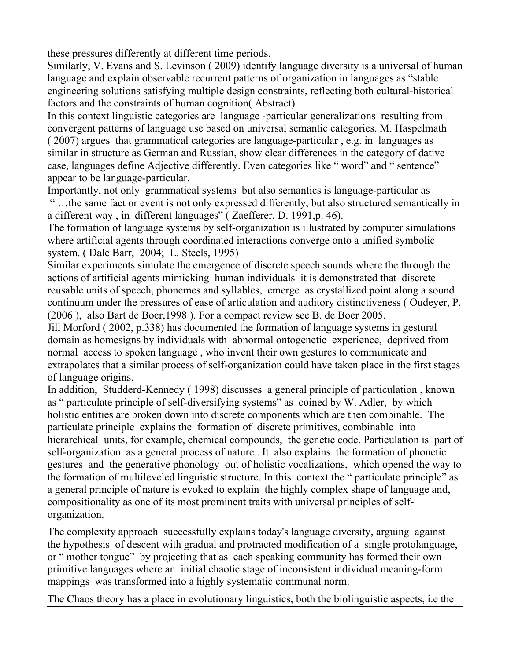these pressures differently at different time periods.

Similarly, V. Evans and S. Levinson ( 2009) identify language diversity is a universal of human language and explain observable recurrent patterns of organization in languages as "stable engineering solutions satisfying multiple design constraints, reflecting both cultural-historical factors and the constraints of human cognition( Abstract)

In this context linguistic categories are language -particular generalizations resulting from convergent patterns of language use based on universal semantic categories. M. Haspelmath ( 2007) argues that grammatical categories are language-particular , e.g. in languages as similar in structure as German and Russian, show clear differences in the category of dative case, languages define Adjective differently. Even categories like " word" and " sentence" appear to be language-particular.

Importantly, not only grammatical systems but also semantics is language-particular as " …the same fact or event is not only expressed differently, but also structured semantically in a different way , in different languages" ( Zaefferer, D. 1991,p. 46).

The formation of language systems by self-organization is illustrated by computer simulations where artificial agents through coordinated interactions converge onto a unified symbolic system. ( Dale Barr, 2004; L. Steels, 1995)

Similar experiments simulate the emergence of discrete speech sounds where the through the actions of artificial agents mimicking human individuals it is demonstrated that discrete reusable units of speech, phonemes and syllables, emerge as crystallized point along a sound continuum under the pressures of ease of articulation and auditory distinctiveness ( Oudeyer, P. (2006 ), also Bart de Boer,1998 ). For a compact review see B. de Boer 2005.

Jill Morford ( 2002, p.338) has documented the formation of language systems in gestural domain as homesigns by individuals with abnormal ontogenetic experience, deprived from normal access to spoken language , who invent their own gestures to communicate and extrapolates that a similar process of self-organization could have taken place in the first stages of language origins.

In addition, Studderd-Kennedy ( 1998) discusses a general principle of particulation , known as " particulate principle of self-diversifying systems" as coined by W. Adler, by which holistic entities are broken down into discrete components which are then combinable. The particulate principle explains the formation of discrete primitives, combinable into hierarchical units, for example, chemical compounds, the genetic code. Particulation is part of self-organization as a general process of nature . It also explains the formation of phonetic gestures and the generative phonology out of holistic vocalizations, which opened the way to the formation of multileveled linguistic structure. In this context the " particulate principle" as a general principle of nature is evoked to explain the highly complex shape of language and, compositionality as one of its most prominent traits with universal principles of selforganization.

The complexity approach successfully explains today's language diversity, arguing against the hypothesis of descent with gradual and protracted modification of a single protolanguage, or " mother tongue" by projecting that as each speaking community has formed their own primitive languages where an initial chaotic stage of inconsistent individual meaning-form mappings was transformed into a highly systematic communal norm.

The Chaos theory has a place in evolutionary linguistics, both the biolinguistic aspects, i.e the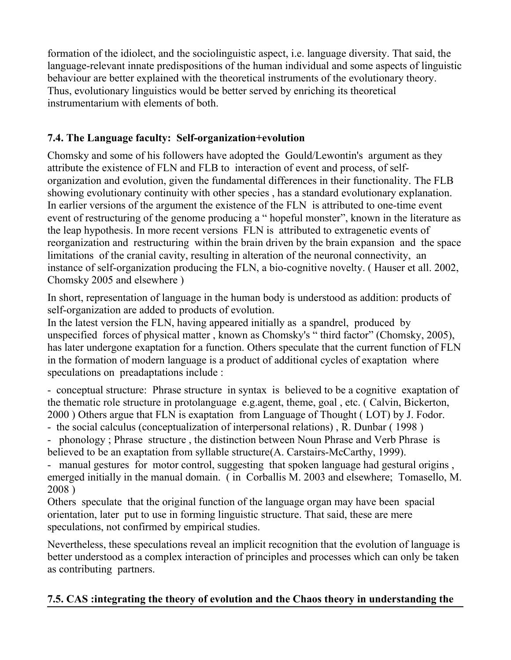formation of the idiolect, and the sociolinguistic aspect, i.e. language diversity. That said, the language-relevant innate predispositions of the human individual and some aspects of linguistic behaviour are better explained with the theoretical instruments of the evolutionary theory. Thus, evolutionary linguistics would be better served by enriching its theoretical instrumentarium with elements of both.

# **7.4. The Language faculty: Self-organization+evolution**

Chomsky and some of his followers have adopted the Gould/Lewontin's argument as they attribute the existence of FLN and FLB to interaction of event and process, of selforganization and evolution, given the fundamental differences in their functionality. The FLB showing evolutionary continuity with other species , has a standard evolutionary explanation. In earlier versions of the argument the existence of the FLN is attributed to one-time event event of restructuring of the genome producing a " hopeful monster", known in the literature as the leap hypothesis. In more recent versions FLN is attributed to extragenetic events of reorganization and restructuring within the brain driven by the brain expansion and the space limitations of the cranial cavity, resulting in alteration of the neuronal connectivity, an instance of self-organization producing the FLN, a bio-cognitive novelty. ( Hauser et all. 2002, Chomsky 2005 and elsewhere )

In short, representation of language in the human body is understood as addition: products of self-organization are added to products of evolution.

In the latest version the FLN, having appeared initially as a spandrel, produced by unspecified forces of physical matter , known as Chomsky's " third factor" (Chomsky, 2005), has later undergone exaptation for a function. Others speculate that the current function of FLN in the formation of modern language is a product of additional cycles of exaptation where speculations on preadaptations include :

- conceptual structure: Phrase structure in syntax is believed to be a cognitive exaptation of the thematic role structure in protolanguage e.g.agent, theme, goal , etc. ( Calvin, Bickerton, 2000 ) Others argue that FLN is exaptation from Language of Thought ( LOT) by J. Fodor.

- the social calculus (conceptualization of interpersonal relations) , R. Dunbar ( 1998 )
- phonology ; Phrase structure , the distinction between Noun Phrase and Verb Phrase is believed to be an exaptation from syllable structure(A. Carstairs-McCarthy, 1999).

- manual gestures for motor control, suggesting that spoken language had gestural origins , emerged initially in the manual domain. ( in Corballis M. 2003 and elsewhere; Tomasello, M. 2008 )

Others speculate that the original function of the language organ may have been spacial orientation, later put to use in forming linguistic structure. That said, these are mere speculations, not confirmed by empirical studies.

Nevertheless, these speculations reveal an implicit recognition that the evolution of language is better understood as a complex interaction of principles and processes which can only be taken as contributing partners.

# **7.5. CAS :integrating the theory of evolution and the Chaos theory in understanding the**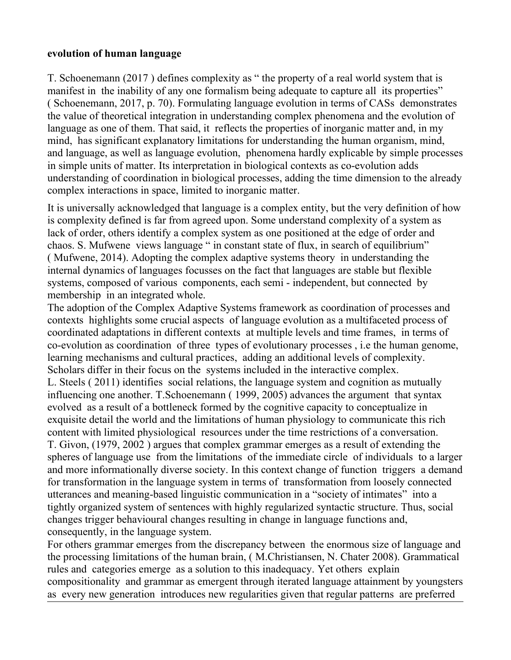#### **evolution of human language**

T. Schoenemann (2017 ) defines complexity as " the property of a real world system that is manifest in the inability of any one formalism being adequate to capture all its properties" ( Schoenemann, 2017, p. 70). Formulating language evolution in terms of CASs demonstrates the value of theoretical integration in understanding complex phenomena and the evolution of language as one of them. That said, it reflects the properties of inorganic matter and, in my mind, has significant explanatory limitations for understanding the human organism, mind, and language, as well as language evolution, phenomena hardly explicable by simple processes in simple units of matter. Its interpretation in biological contexts as co-evolution adds understanding of coordination in biological processes, adding the time dimension to the already complex interactions in space, limited to inorganic matter.

It is universally acknowledged that language is a complex entity, but the very definition of how is complexity defined is far from agreed upon. Some understand complexity of a system as lack of order, others identify a complex system as one positioned at the edge of order and chaos. S. Mufwene views language " in constant state of flux, in search of equilibrium" ( Mufwene, 2014). Adopting the complex adaptive systems theory in understanding the internal dynamics of languages focusses on the fact that languages are stable but flexible systems, composed of various components, each semi - independent, but connected by membership in an integrated whole.

The adoption of the Complex Adaptive Systems framework as coordination of processes and contexts highlights some crucial aspects of language evolution as a multifaceted process of coordinated adaptations in different contexts at multiple levels and time frames, in terms of co-evolution as coordination of three types of evolutionary processes , i.e the human genome, learning mechanisms and cultural practices, adding an additional levels of complexity. Scholars differ in their focus on the systems included in the interactive complex. L. Steels ( 2011) identifies social relations, the language system and cognition as mutually influencing one another. T.Schoenemann ( 1999, 2005) advances the argument that syntax evolved as a result of a bottleneck formed by the cognitive capacity to conceptualize in exquisite detail the world and the limitations of human physiology to communicate this rich content with limited physiological resources under the time restrictions of a conversation. T. Givon, (1979, 2002 ) argues that complex grammar emerges as a result of extending the spheres of language use from the limitations of the immediate circle of individuals to a larger and more informationally diverse society. In this context change of function triggers a demand for transformation in the language system in terms of transformation from loosely connected utterances and meaning-based linguistic communication in a "society of intimates" into a tightly organized system of sentences with highly regularized syntactic structure. Thus, social changes trigger behavioural changes resulting in change in language functions and, consequently, in the language system.

For others grammar emerges from the discrepancy between the enormous size of language and the processing limitations of the human brain, ( M.Christiansen, N. Chater 2008). Grammatical rules and categories emerge as a solution to this inadequacy. Yet others explain compositionality and grammar as emergent through iterated language attainment by youngsters as every new generation introduces new regularities given that regular patterns are preferred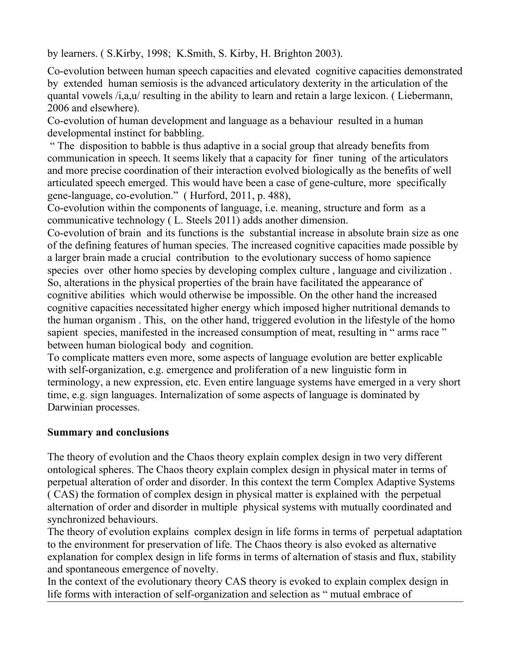by learners. ( S.Kirby, 1998; K.Smith, S. Kirby, H. Brighton 2003).

Co-evolution between human speech capacities and elevated cognitive capacities demonstrated by extended human semiosis is the advanced articulatory dexterity in the articulation of the quantal vowels /i,a,u/ resulting in the ability to learn and retain a large lexicon. ( Liebermann, 2006 and elsewhere).

Co-evolution of human development and language as a behaviour resulted in a human developmental instinct for babbling.

 " The disposition to babble is thus adaptive in a social group that already benefits from communication in speech. It seems likely that a capacity for finer tuning of the articulators and more precise coordination of their interaction evolved biologically as the benefits of well articulated speech emerged. This would have been a case of gene-culture, more specifically gene-language, co-evolution." ( Hurford, 2011, p. 488),

Co-evolution within the components of language, i.e. meaning, structure and form as a communicative technology ( L. Steels 2011) adds another dimension.

Co-evolution of brain and its functions is the substantial increase in absolute brain size as one of the defining features of human species. The increased cognitive capacities made possible by a larger brain made a crucial contribution to the evolutionary success of homo sapience species over other homo species by developing complex culture , language and civilization . So, alterations in the physical properties of the brain have facilitated the appearance of cognitive abilities which would otherwise be impossible. On the other hand the increased cognitive capacities necessitated higher energy which imposed higher nutritional demands to the human organism . This, on the other hand, triggered evolution in the lifestyle of the homo sapient species, manifested in the increased consumption of meat, resulting in " arms race " between human biological body and cognition.

To complicate matters even more, some aspects of language evolution are better explicable with self-organization, e.g. emergence and proliferation of a new linguistic form in terminology, a new expression, etc. Even entire language systems have emerged in a very short time, e.g. sign languages. Internalization of some aspects of language is dominated by Darwinian processes.

### **Summary and conclusions**

The theory of evolution and the Chaos theory explain complex design in two very different ontological spheres. The Chaos theory explain complex design in physical mater in terms of perpetual alteration of order and disorder. In this context the term Complex Adaptive Systems ( CAS) the formation of complex design in physical matter is explained with the perpetual alternation of order and disorder in multiple physical systems with mutually coordinated and synchronized behaviours.

The theory of evolution explains complex design in life forms in terms of perpetual adaptation to the environment for preservation of life. The Chaos theory is also evoked as alternative explanation for complex design in life forms in terms of alternation of stasis and flux, stability and spontaneous emergence of novelty.

In the context of the evolutionary theory CAS theory is evoked to explain complex design in life forms with interaction of self-organization and selection as " mutual embrace of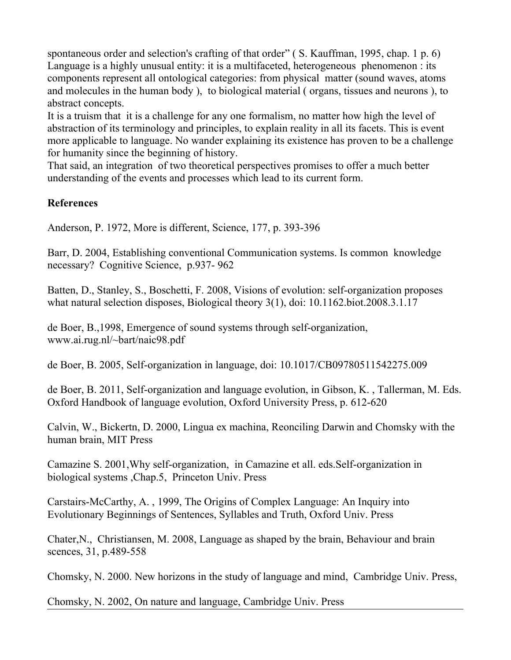spontaneous order and selection's crafting of that order" (S. Kauffman, 1995, chap. 1 p. 6) Language is a highly unusual entity: it is a multifaceted, heterogeneous phenomenon : its components represent all ontological categories: from physical matter (sound waves, atoms and molecules in the human body ), to biological material ( organs, tissues and neurons ), to abstract concepts.

It is a truism that it is a challenge for any one formalism, no matter how high the level of abstraction of its terminology and principles, to explain reality in all its facets. This is event more applicable to language. No wander explaining its existence has proven to be a challenge for humanity since the beginning of history.

That said, an integration of two theoretical perspectives promises to offer a much better understanding of the events and processes which lead to its current form.

### **References**

Anderson, P. 1972, More is different, Science, 177, p. 393-396

Barr, D. 2004, Establishing conventional Communication systems. Is common knowledge necessary? Cognitive Science, p.937- 962

Batten, D., Stanley, S., Boschetti, F. 2008, Visions of evolution: self-organization proposes what natural selection disposes, Biological theory 3(1), doi: 10.1162.biot.2008.3.1.17

de Boer, B.,1998, Emergence of sound systems through self-organization, www.ai.rug.nl/~bart/naic98.pdf

de Boer, B. 2005, Self-organization in language, doi: 10.1017/CB09780511542275.009

de Boer, B. 2011, Self-organization and language evolution, in Gibson, K. , Tallerman, M. Eds. Oxford Handbook of language evolution, Oxford University Press, p. 612-620

Calvin, W., Bickertn, D. 2000, Lingua ex machina, Reonciling Darwin and Chomsky with the human brain, MIT Press

Camazine S. 2001,Why self-organization, in Camazine et all. eds.Self-organization in biological systems ,Chap.5, Princeton Univ. Press

Carstairs-McCarthy, A. , 1999, The Origins of Complex Language: An Inquiry into Evolutionary Beginnings of Sentences, Syllables and Truth, Oxford Univ. Press

Chater,N., Christiansen, M. 2008, Language as shaped by the brain, Behaviour and brain scences, 31, p.489-558

Chomsky, N. 2000. New horizons in the study of language and mind, Cambridge Univ. Press,

Chomsky, N. 2002, On nature and language, Cambridge Univ. Press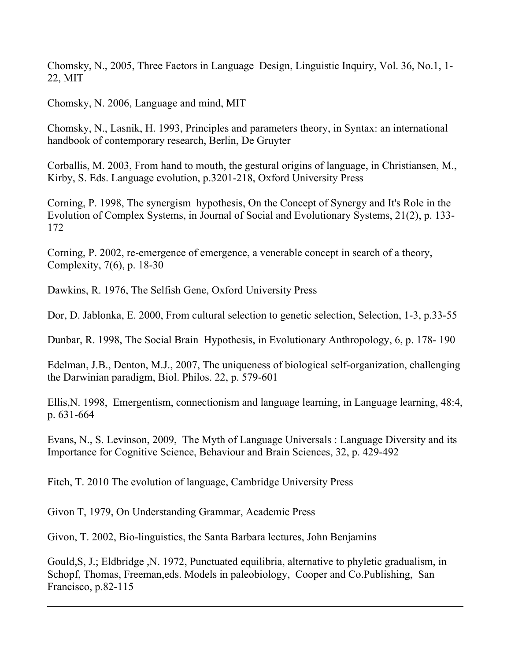Chomsky, N., 2005, Three Factors in Language Design, Linguistic Inquiry, Vol. 36, No.1, 1- 22, MIT

Chomsky, N. 2006, Language and mind, MIT

Chomsky, N., Lasnik, H. 1993, Principles and parameters theory, in Syntax: an international handbook of contemporary research, Berlin, De Gruyter

Corballis, M. 2003, From hand to mouth, the gestural origins of language, in Christiansen, M., Kirby, S. Eds. Language evolution, p.3201-218, Oxford University Press

Corning, P. 1998, The synergism hypothesis, On the Concept of Synergy and It's Role in the Evolution of Complex Systems, in Journal of Social and Evolutionary Systems, 21(2), p. 133- 172

Corning, P. 2002, re-emergence of emergence, a venerable concept in search of a theory, Complexity, 7(6), p. 18-30

Dawkins, R. 1976, The Selfish Gene, Oxford University Press

Dor, D. Jablonka, E. 2000, From cultural selection to genetic selection, Selection, 1-3, p.33-55

Dunbar, R. 1998, The Social Brain Hypothesis, in Evolutionary Anthropology, 6, p. 178- 190

Edelman, J.B., Denton, M.J., 2007, The uniqueness of biological self-organization, challenging the Darwinian paradigm, Biol. Philos. 22, p. 579-601

Ellis,N. 1998, Emergentism, connectionism and language learning, in Language learning, 48:4, p. 631-664

Evans, N., S. Levinson, 2009, The Myth of Language Universals : Language Diversity and its Importance for Cognitive Science, Behaviour and Brain Sciences, 32, p. 429-492

Fitch, T. 2010 The evolution of language, Cambridge University Press

Givon T, 1979, On Understanding Grammar, Academic Press

Givon, T. 2002, Bio-linguistics, the Santa Barbara lectures, John Benjamins

Gould,S, J.; Eldbridge ,N. 1972, Punctuated equilibria, alternative to phyletic gradualism, in Schopf, Thomas, Freeman,eds. Models in paleobiology, Cooper and Co.Publishing, San Francisco, p.82-115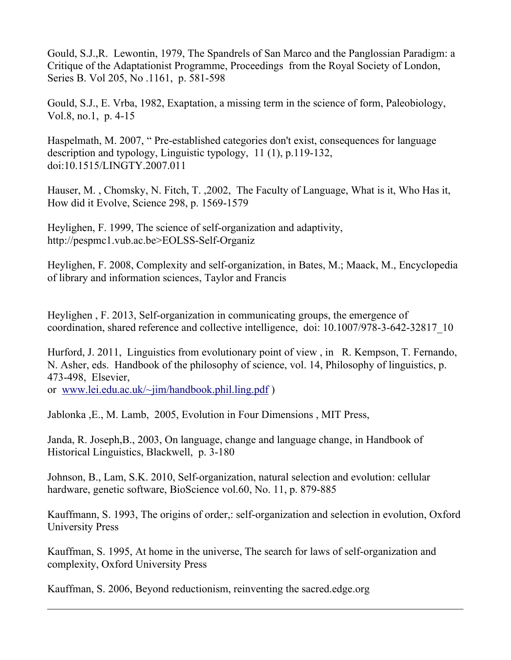Gould, S.J.,R. Lewontin, 1979, The Spandrels of San Marco and the Panglossian Paradigm: a Critique of the Adaptationist Programme, Proceedings from the Royal Society of London, Series B. Vol 205, No .1161, p. 581-598

Gould, S.J., E. Vrba, 1982, Exaptation, a missing term in the science of form, Paleobiology, Vol.8, no.1, p. 4-15

Haspelmath, M. 2007, " Pre-established categories don't exist, consequences for language description and typology, Linguistic typology, 11 (1), p.119-132, doi:10.1515/LINGTY.2007.011

Hauser, M. , Chomsky, N. Fitch, T. ,2002, The Faculty of Language, What is it, Who Has it, How did it Evolve, Science 298, p. 1569-1579

Heylighen, F. 1999, The science of self-organization and adaptivity, http://pespmc1.vub.ac.be>EOLSS-Self-Organiz

Heylighen, F. 2008, Complexity and self-organization, in Bates, M.; Maack, M., Encyclopedia of library and information sciences, Taylor and Francis

Heylighen , F. 2013, Self-organization in communicating groups, the emergence of coordination, shared reference and collective intelligence, doi: 10.1007/978-3-642-32817\_10

Hurford, J. 2011, Linguistics from evolutionary point of view , in R. Kempson, T. Fernando, N. Asher, eds. Handbook of the philosophy of science, vol. 14, Philosophy of linguistics, p. 473-498, Elsevier,

or [www.lei.edu.ac.uk/~jim/handbook.phil.ling.pdf](http://www.lei.edu.ac.uk/~jim/handbook.phil.ling.pdf) )

Jablonka ,E., M. Lamb, 2005, Evolution in Four Dimensions , MIT Press,

Janda, R. Joseph,B., 2003, On language, change and language change, in Handbook of Historical Linguistics, Blackwell, p. 3-180

Johnson, B., Lam, S.K. 2010, Self-organization, natural selection and evolution: cellular hardware, genetic software, BioScience vol.60, No. 11, p. 879-885

Kauffmann, S. 1993, The origins of order,: self-organization and selection in evolution, Oxford University Press

Kauffman, S. 1995, At home in the universe, The search for laws of self-organization and complexity, Oxford University Press

Kauffman, S. 2006, Beyond reductionism, reinventing the sacred.edge.org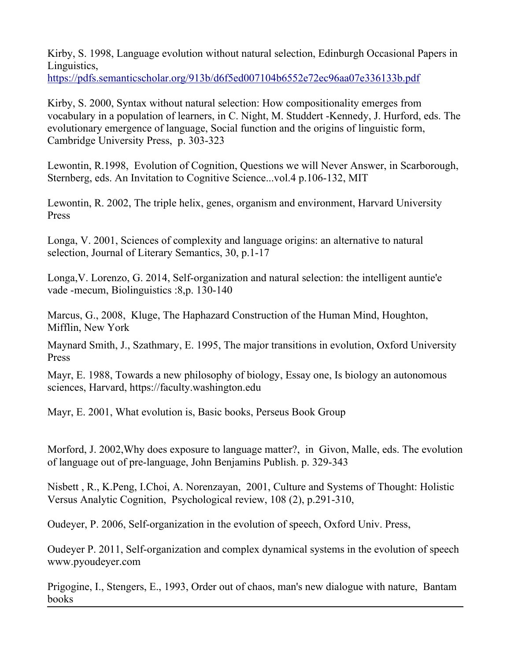Kirby, S. 1998, Language evolution without natural selection, Edinburgh Occasional Papers in Linguistics, <https://pdfs.semanticscholar.org/913b/d6f5ed007104b6552e72ec96aa07e336133b.pdf>

Kirby, S. 2000, Syntax without natural selection: How compositionality emerges from vocabulary in a population of learners, in C. Night, M. Studdert -Kennedy, J. Hurford, eds. The evolutionary emergence of language, Social function and the origins of linguistic form, Cambridge University Press, p. 303-323

Lewontin, R.1998, Evolution of Cognition, Questions we will Never Answer, in Scarborough, Sternberg, eds. An Invitation to Cognitive Science...vol.4 p.106-132, MIT

Lewontin, R. 2002, The triple helix, genes, organism and environment, Harvard University Press

Longa, V. 2001, Sciences of complexity and language origins: an alternative to natural selection, Journal of Literary Semantics, 30, p.1-17

Longa,V. Lorenzo, G. 2014, Self-organization and natural selection: the intelligent auntie'e vade -mecum, Biolinguistics :8,p. 130-140

Marcus, G., 2008, Kluge, The Haphazard Construction of the Human Mind, Houghton, Mifflin, New York

Maynard Smith, J., Szathmary, E. 1995, The major transitions in evolution, Oxford University Press

Mayr, E. 1988, Towards a new philosophy of biology, Essay one, Is biology an autonomous sciences, Harvard, https://faculty.washington.edu

Mayr, E. 2001, What evolution is, Basic books, Perseus Book Group

Morford, J. 2002,Why does exposure to language matter?, in Givon, Malle, eds. The evolution of language out of pre-language, John Benjamins Publish. p. 329-343

Nisbett , R., K.Peng, I.Choi, A. Norenzayan, 2001, Culture and Systems of Thought: Holistic Versus Analytic Cognition, Psychological review, 108 (2), p.291-310,

Oudeyer, P. 2006, Self-organization in the evolution of speech, Oxford Univ. Press,

Oudeyer P. 2011, Self-organization and complex dynamical systems in the evolution of speech www.pyoudeyer.com

Prigogine, I., Stengers, E., 1993, Order out of chaos, man's new dialogue with nature, Bantam books